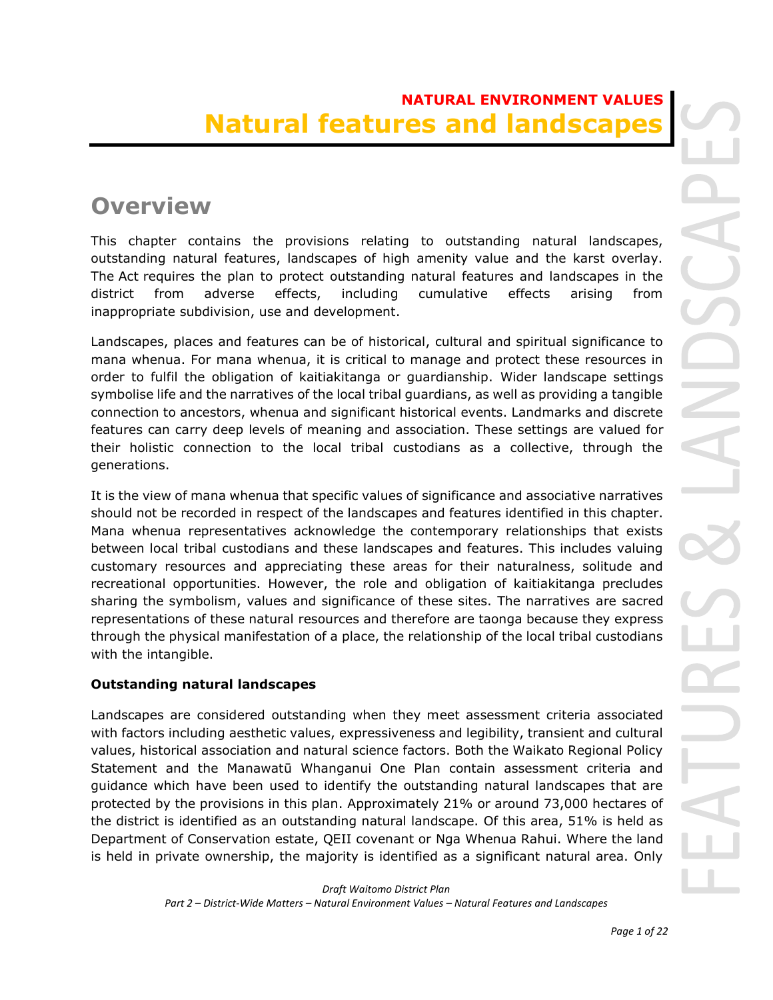# **NATURAL ENVIRONMENT VALUES Natural features and landscape**

# **Overview**

This chapter contains the provisions relating to outstanding natural landscapes, outstanding natural features, landscapes of high amenity value and the karst overlay. The Act requires the plan to protect outstanding natural features and landscapes in the district from adverse effects, including cumulative effects arising from inappropriate subdivision, use and development.

Landscapes, places and features can be of historical, cultural and spiritual significance to mana whenua. For mana whenua, it is critical to manage and protect these resources in order to fulfil the obligation of kaitiakitanga or guardianship. Wider landscape settings symbolise life and the narratives of the local tribal guardians, as well as providing a tangible connection to ancestors, whenua and significant historical events. Landmarks and discrete features can carry deep levels of meaning and association. These settings are valued for their holistic connection to the local tribal custodians as a collective, through the generations.

It is the view of mana whenua that specific values of significance and associative narratives should not be recorded in respect of the landscapes and features identified in this chapter. Mana whenua representatives acknowledge the contemporary relationships that exists between local tribal custodians and these landscapes and features. This includes valuing customary resources and appreciating these areas for their naturalness, solitude and recreational opportunities. However, the role and obligation of kaitiakitanga precludes sharing the symbolism, values and significance of these sites. The narratives are sacred representations of these natural resources and therefore are taonga because they express through the physical manifestation of a place, the relationship of the local tribal custodians with the intangible.

## **Outstanding natural landscapes**

Landscapes are considered outstanding when they meet assessment criteria associated with factors including aesthetic values, expressiveness and legibility, transient and cultural values, historical association and natural science factors. Both the Waikato Regional Policy Statement and the Manawatū Whanganui One Plan contain assessment criteria and guidance which have been used to identify the outstanding natural landscapes that are protected by the provisions in this plan. Approximately 21% or around 73,000 hectares of the district is identified as an outstanding natural landscape. Of this area, 51% is held as Department of Conservation estate, QEII covenant or Nga Whenua Rahui. Where the land is held in private ownership, the majority is identified as a significant natural area. Only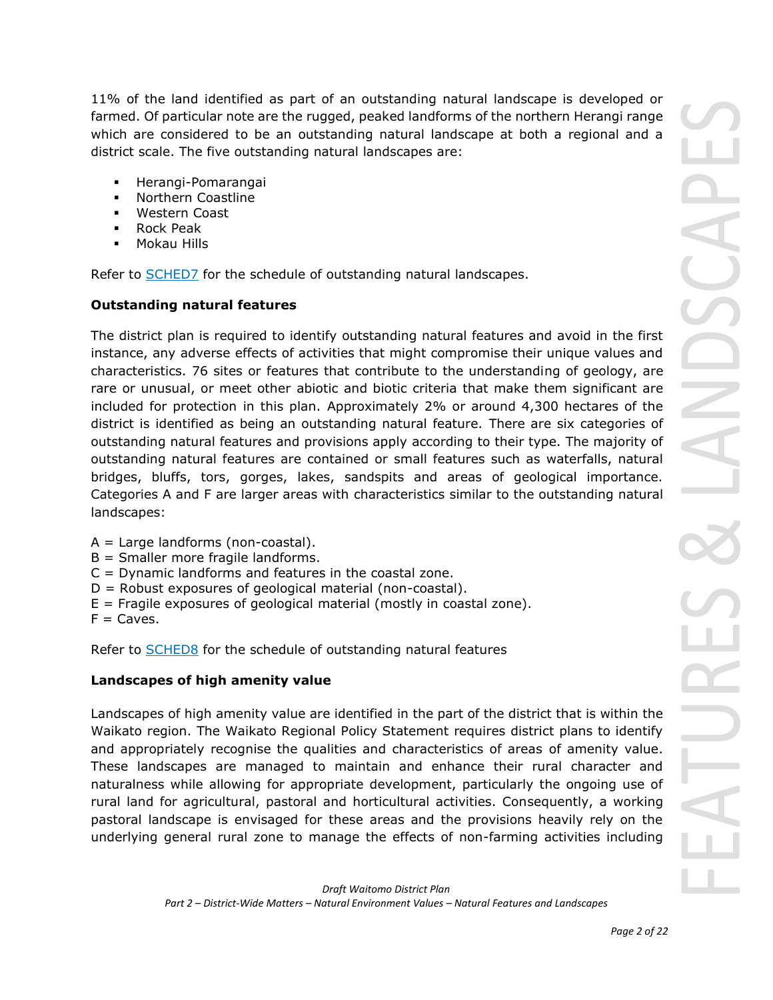11% of the land identified as part of an outstanding natural landscape is developed or farmed. Of particular note are the rugged, peaked landforms of the northern Herangi range which are considered to be an outstanding natural landscape at both a regional and a district scale. The five outstanding natural landscapes are:

- Herangi-Pomarangai
- Northern Coastline
- **Western Coast**
- Rock Peak
- **Mokau Hills**

Refer to **[SCHED7](javascript:void(0))** for the schedule of outstanding natural landscapes.

## **Outstanding natural features**

The district plan is required to identify outstanding natural features and avoid in the first instance, any adverse effects of activities that might compromise their unique values and characteristics. 76 sites or features that contribute to the understanding of geology, are rare or unusual, or meet other abiotic and biotic criteria that make them significant are included for protection in this plan. Approximately 2% or around 4,300 hectares of the district is identified as being an outstanding natural feature. There are six categories of outstanding natural features and provisions apply according to their type. The majority of outstanding natural features are contained or small features such as waterfalls, natural bridges, bluffs, tors, gorges, lakes, sandspits and areas of geological importance. Categories A and F are larger areas with characteristics similar to the outstanding natural landscapes:

- $A =$  Large landforms (non-coastal).
- B = Smaller more fragile landforms.
- C = Dynamic landforms and features in the coastal zone.
- $D =$  Robust exposures of geological material (non-coastal).
- $E =$  Fragile exposures of geological material (mostly in coastal zone).
- $F = \text{Caves}.$

Refer to [SCHED8](javascript:void(0)) for the schedule of outstanding natural features

## **Landscapes of high amenity value**

Landscapes of high amenity value are identified in the part of the district that is within the Waikato region. The Waikato Regional Policy Statement requires district plans to identify and appropriately recognise the qualities and characteristics of areas of amenity value. These landscapes are managed to maintain and enhance their rural character and naturalness while allowing for appropriate development, particularly the ongoing use of rural land for agricultural, pastoral and horticultural activities. Consequently, a working pastoral landscape is envisaged for these areas and the provisions heavily rely on the underlying general rural zone to manage the effects of non-farming activities including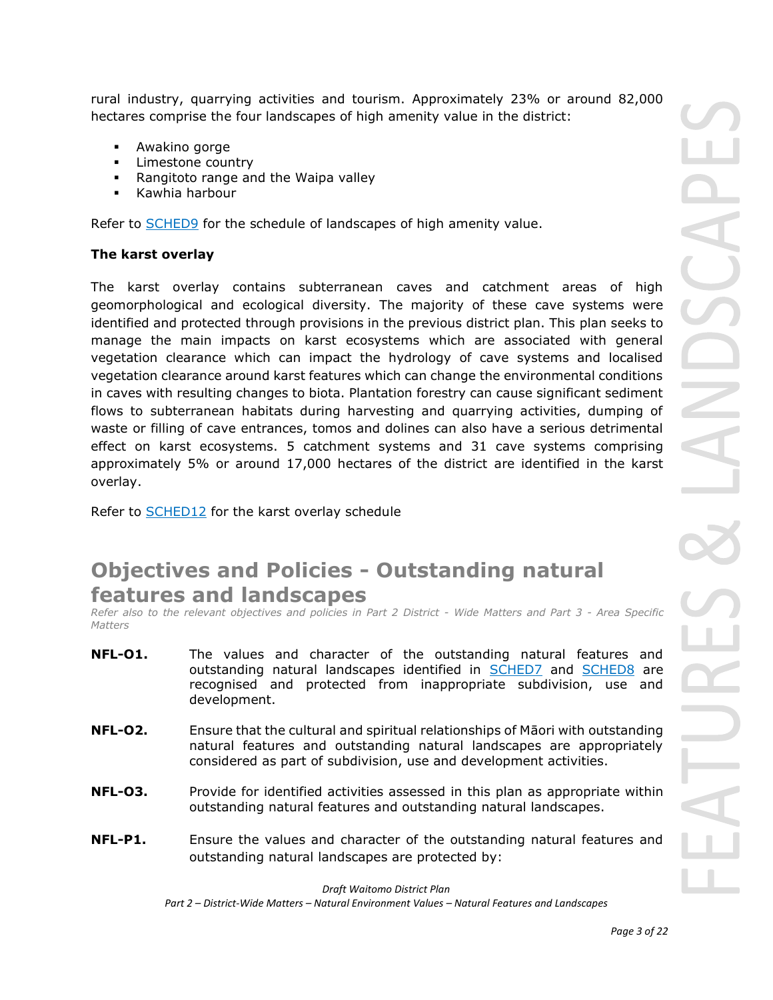rural industry, quarrying activities and tourism. Approximately 23% or around 82,000 hectares comprise the four landscapes of high amenity value in the district:

- Awakino gorge
- Limestone country
- Rangitoto range and the Waipa valley
- Kawhia harbour

Refer to [SCHED9](javascript:void(0)) for the schedule of landscapes of high amenity value.

### **The karst overlay**

The karst overlay contains subterranean caves and catchment areas of high geomorphological and ecological diversity. The majority of these cave systems were identified and protected through provisions in the previous district plan. This plan seeks to manage the main impacts on karst ecosystems which are associated with general vegetation clearance which can impact the hydrology of cave systems and localised vegetation clearance around karst features which can change the environmental conditions in caves with resulting changes to biota. Plantation forestry can cause significant sediment flows to subterranean habitats during harvesting and quarrying activities, dumping of waste or filling of cave entrances, tomos and dolines can also have a serious detrimental effect on karst ecosystems. 5 catchment systems and 31 cave systems comprising approximately 5% or around 17,000 hectares of the district are identified in the karst overlay.

Refer to [SCHED12](javascript:void(0)) for the karst overlay schedule

# **Objectives and Policies - Outstanding natural features and landscapes**

*Refer also to the relevant objectives and policies in Part 2 District - Wide Matters and Part 3 - Area Specific Matters*

- **NFL-O1.** The values and character of the outstanding natural features and outstanding natural landscapes identified in SCHED7 and SCHED8 are recognised and protected from inappropriate subdivision, use and development.
- **NFL-O2.** Ensure that the cultural and spiritual relationships of Māori with outstanding natural features and outstanding natural landscapes are appropriately considered as part of subdivision, use and development activities.
- **NFL-03.** Provide for identified activities assessed in this plan as appropriate within outstanding natural features and outstanding natural landscapes.
- **NFL-P1.** Ensure the values and character of the outstanding natural features and outstanding natural landscapes are protected by: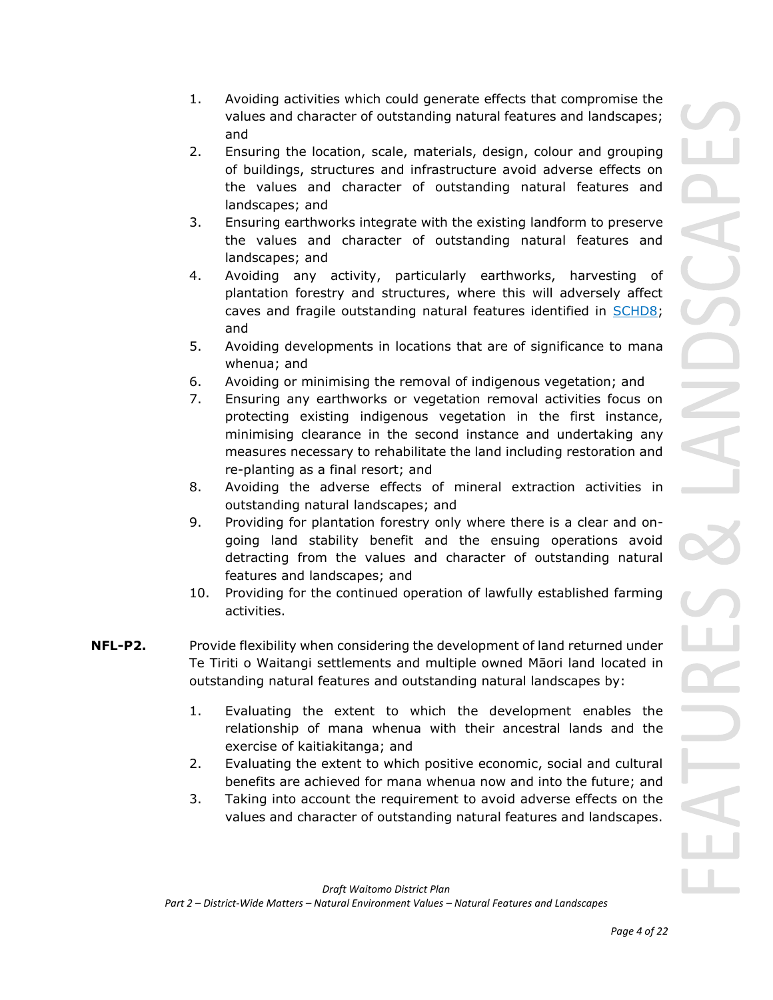- 1. Avoiding activities which could generate effects that compromise the values and character of outstanding natural features and landscapes; and
- 2. Ensuring the location, scale, materials, design, colour and grouping of buildings, structures and infrastructure avoid adverse effects on the values and character of outstanding natural features and landscapes; and
- 3. Ensuring earthworks integrate with the existing landform to preserve the values and character of outstanding natural features and landscapes; and
- 4. Avoiding any activity, particularly earthworks, harvesting of plantation forestry and structures, where this will adversely affect caves and fragile outstanding natural features identified in **SCHD8**; and
- 5. Avoiding developments in locations that are of significance to mana whenua; and
- 6. Avoiding or minimising the removal of indigenous vegetation; and
- 7. Ensuring any earthworks or vegetation removal activities focus on protecting existing indigenous vegetation in the first instance, minimising clearance in the second instance and undertaking any measures necessary to rehabilitate the land including restoration and re-planting as a final resort; and
- 8. Avoiding the adverse effects of mineral extraction activities in outstanding natural landscapes; and
- 9. Providing for plantation forestry only where there is a clear and ongoing land stability benefit and the ensuing operations avoid detracting from the values and character of outstanding natural features and landscapes; and
- 10. Providing for the continued operation of lawfully established farming activities.
- **NFL-P2.** Provide flexibility when considering the development of land returned under Te Tiriti o Waitangi settlements and multiple owned Māori land located in outstanding natural features and outstanding natural landscapes by:
	- 1. Evaluating the extent to which the development enables the relationship of mana whenua with their ancestral lands and the exercise of kaitiakitanga; and
	- 2. Evaluating the extent to which positive economic, social and cultural benefits are achieved for mana whenua now and into the future; and
	- 3. Taking into account the requirement to avoid adverse effects on the values and character of outstanding natural features and landscapes.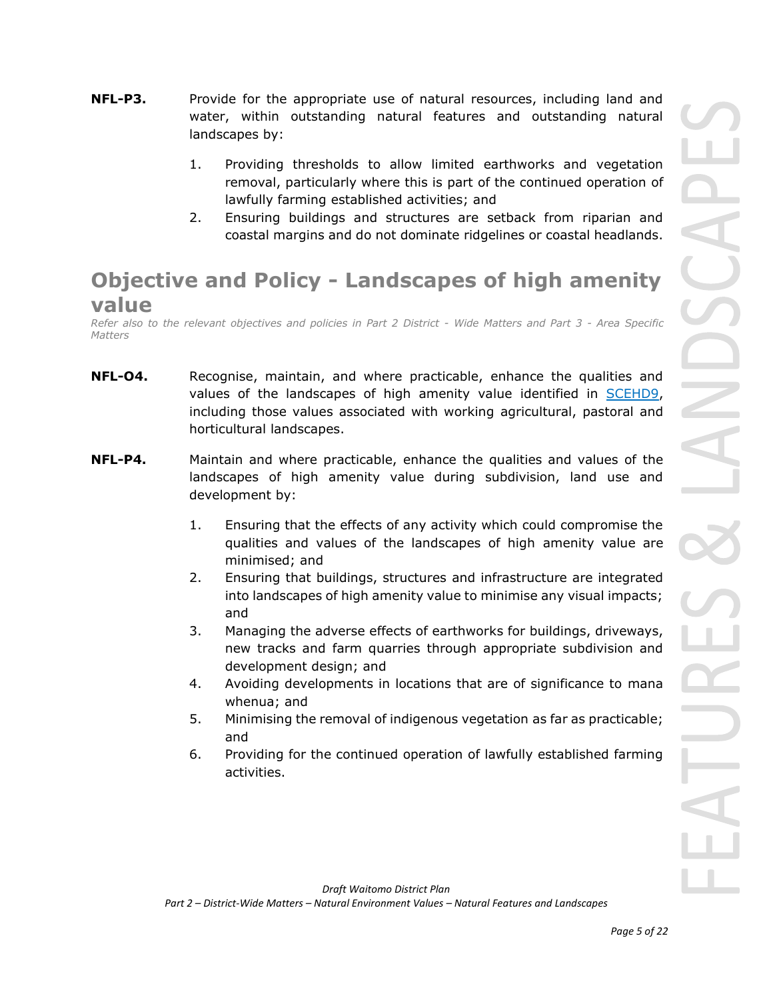- **NFL-P3.** Provide for the appropriate use of natural resources, including land and water, within outstanding natural features and outstanding natural landscapes by:
	- 1. Providing thresholds to allow limited earthworks and vegetation removal, particularly where this is part of the continued operation of lawfully farming established activities; and
	- 2. Ensuring buildings and structures are setback from riparian and coastal margins and do not dominate ridgelines or coastal headlands.

# **Objective and Policy - Landscapes of high amenity value**

*Refer also to the relevant objectives and policies in Part 2 District - Wide Matters and Part 3 - Area Specific Matters*

- **NFL-O4.** Recognise, maintain, and where practicable, enhance the qualities and values of the landscapes of high amenity value identified in SCEHD9, including those values associated with working agricultural, pastoral and horticultural landscapes.
- **NFL-P4.** Maintain and where practicable, enhance the qualities and values of the landscapes of high amenity value during subdivision, land use and development by:
	- 1. Ensuring that the effects of any activity which could compromise the qualities and values of the landscapes of high amenity value are minimised; and
	- 2. Ensuring that buildings, structures and infrastructure are integrated into landscapes of high amenity value to minimise any visual impacts; and
	- 3. Managing the adverse effects of earthworks for buildings, driveways, new tracks and farm quarries through appropriate subdivision and development design; and
	- 4. Avoiding developments in locations that are of significance to mana whenua; and
	- 5. Minimising the removal of indigenous vegetation as far as practicable; and
	- 6. Providing for the continued operation of lawfully established farming activities.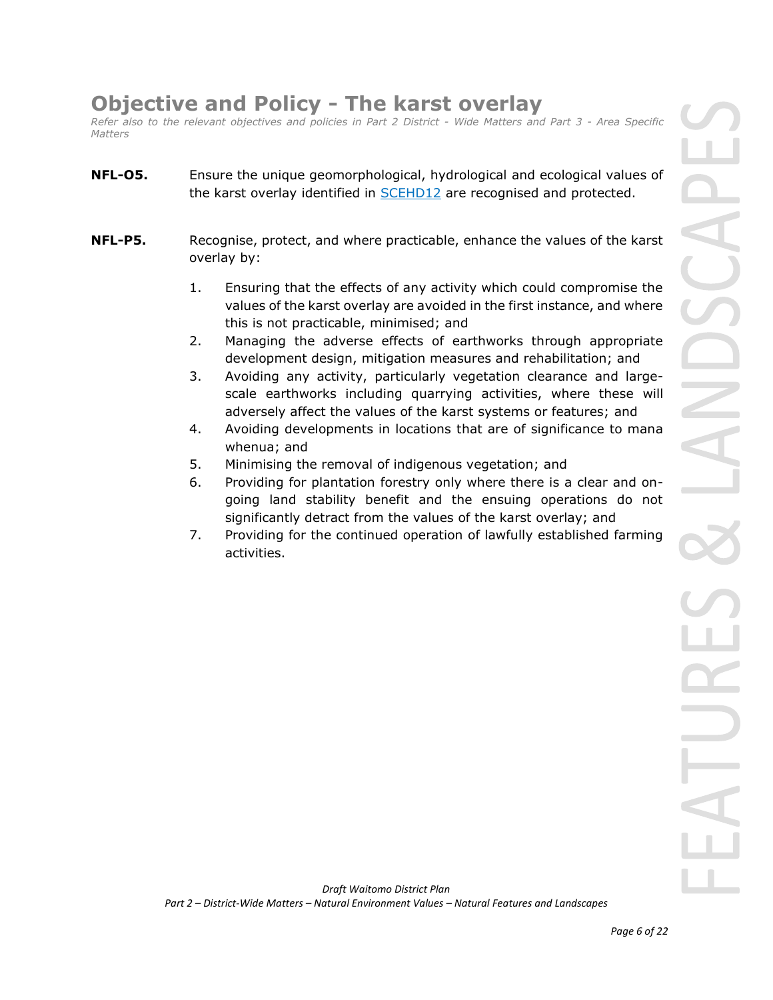# **Objective and Policy - The karst overlay**

*Refer also to the relevant objectives and policies in Part 2 District - Wide Matters and Part 3 - Area Specific Matters*

- **NFL-O5.** Ensure the unique geomorphological, hydrological and ecological values of the karst overlay identified in **SCEHD12** are recognised and protected.
- **NFL-P5.** Recognise, protect, and where practicable, enhance the values of the karst overlay by:
	- 1. Ensuring that the effects of any activity which could compromise the values of the karst overlay are avoided in the first instance, and where this is not practicable, minimised; and
	- 2. Managing the adverse effects of earthworks through appropriate development design, mitigation measures and rehabilitation; and
	- 3. Avoiding any activity, particularly vegetation clearance and largescale earthworks including quarrying activities, where these will adversely affect the values of the karst systems or features; and
	- 4. Avoiding developments in locations that are of significance to mana whenua; and
	- 5. Minimising the removal of indigenous vegetation; and
	- 6. Providing for plantation forestry only where there is a clear and ongoing land stability benefit and the ensuing operations do not significantly detract from the values of the karst overlay; and
	- 7. Providing for the continued operation of lawfully established farming activities.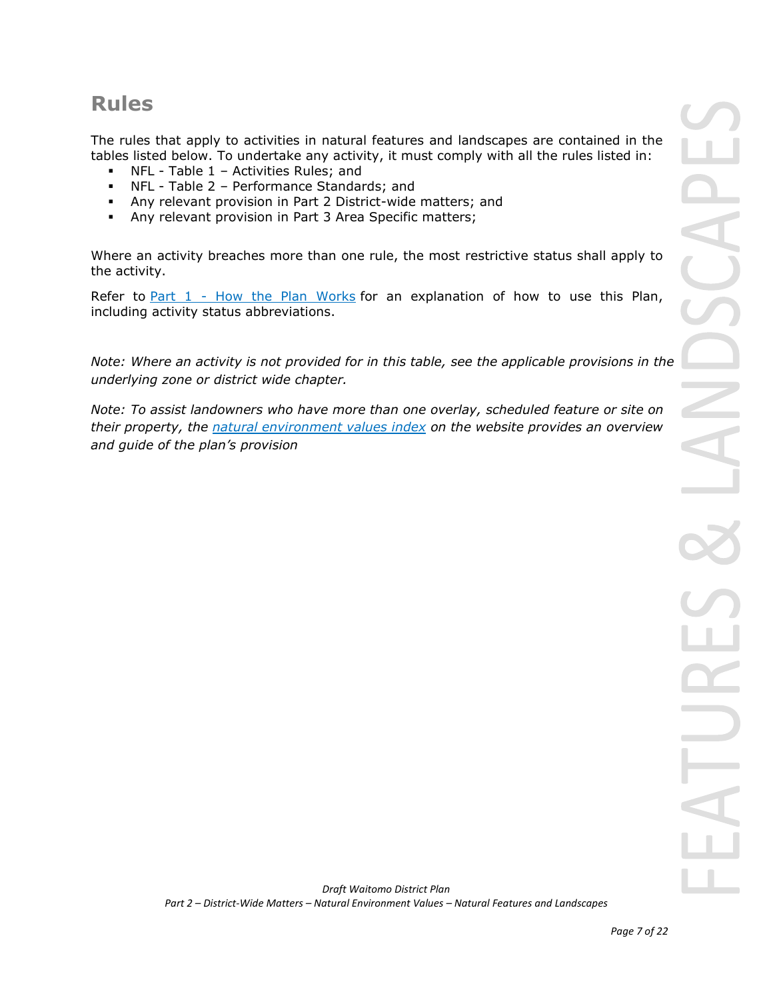# **Rules**

The rules that apply to activities in natural features and landscapes are contained in the tables listed below. To undertake any activity, it must comply with all the rules listed in:

- NFL Table 1 Activities Rules; and
- NFL Table 2 Performance Standards; and
- Any relevant provision in Part 2 District-wide matters; and
- **EXECT** Any relevant provision in Part 3 Area Specific matters;

Where an activity breaches more than one rule, the most restrictive status shall apply to the activity.

Refer to [Part 1](javascript:void(0)) - How the Plan Works for an explanation of how to use this Plan, including activity status abbreviations.

*Note: Where an activity is not provided for in this table, see the applicable provisions in the underlying zone or district wide chapter.*

*Note: To assist landowners who have more than one overlay, scheduled feature or site on their property, the natural environment values index on the website provides an overview and guide of the plan's provision*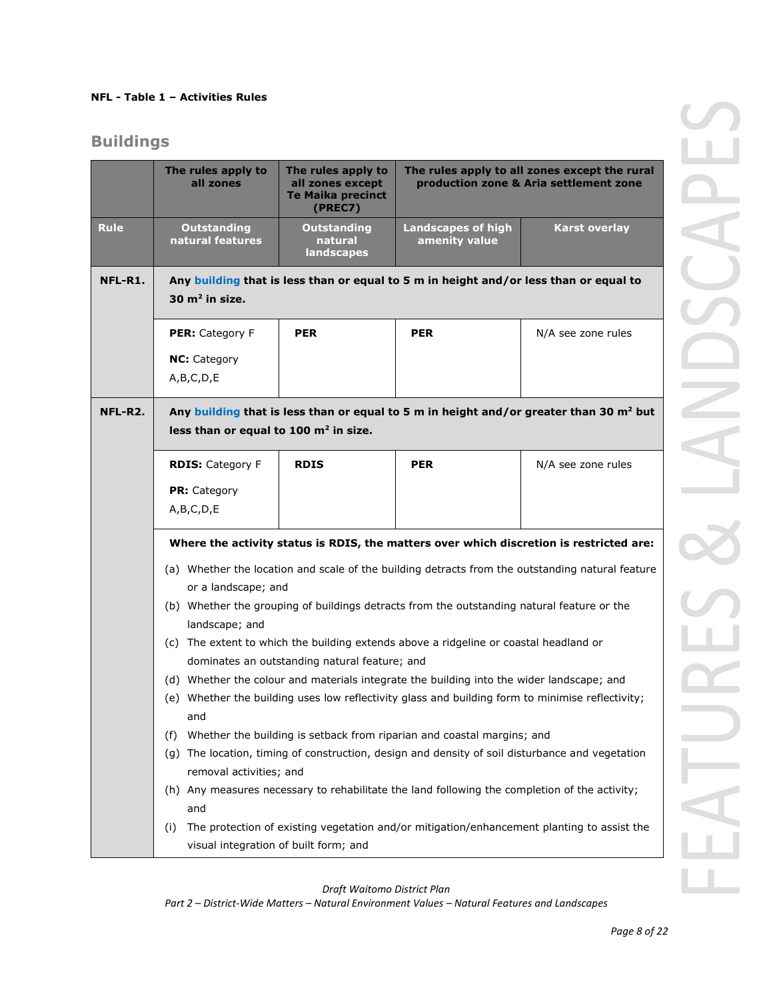### **NFL - Table 1 – Activities Rules**

## **Buildings**

|             | The rules apply to<br>all zones                                                                                                                         | The rules apply to<br>all zones except<br><b>Te Maika precinct</b><br>(PREC7) |                                                                                               | The rules apply to all zones except the rural<br>production zone & Aria settlement zone          |
|-------------|---------------------------------------------------------------------------------------------------------------------------------------------------------|-------------------------------------------------------------------------------|-----------------------------------------------------------------------------------------------|--------------------------------------------------------------------------------------------------|
| <b>Rule</b> | <b>Outstanding</b><br>natural features                                                                                                                  | <b>Outstanding</b><br>natural<br><b>landscapes</b>                            | <b>Landscapes of high</b><br>amenity value                                                    | <b>Karst overlay</b>                                                                             |
| NFL-R1.     | 30 $m2$ in size.                                                                                                                                        |                                                                               | Any building that is less than or equal to 5 m in height and/or less than or equal to         |                                                                                                  |
|             | <b>PER:</b> Category F                                                                                                                                  | <b>PER</b>                                                                    | <b>PER</b>                                                                                    | N/A see zone rules                                                                               |
|             | <b>NC:</b> Category                                                                                                                                     |                                                                               |                                                                                               |                                                                                                  |
|             | A,B,C,D,E                                                                                                                                               |                                                                               |                                                                                               |                                                                                                  |
| NFL-R2.     | Any building that is less than or equal to 5 m in height and/or greater than 30 m <sup>2</sup> but<br>less than or equal to 100 m <sup>2</sup> in size. |                                                                               |                                                                                               |                                                                                                  |
|             | <b>RDIS: Category F</b>                                                                                                                                 | <b>RDIS</b>                                                                   | <b>PER</b>                                                                                    | N/A see zone rules                                                                               |
|             | <b>PR:</b> Category                                                                                                                                     |                                                                               |                                                                                               |                                                                                                  |
|             | A,B,C,D,E                                                                                                                                               |                                                                               |                                                                                               |                                                                                                  |
|             |                                                                                                                                                         |                                                                               |                                                                                               | Where the activity status is RDIS, the matters over which discretion is restricted are:          |
|             |                                                                                                                                                         |                                                                               |                                                                                               | (a) Whether the location and scale of the building detracts from the outstanding natural feature |
|             | or a landscape; and                                                                                                                                     |                                                                               |                                                                                               |                                                                                                  |
|             | landscape; and                                                                                                                                          |                                                                               | (b) Whether the grouping of buildings detracts from the outstanding natural feature or the    |                                                                                                  |
|             |                                                                                                                                                         |                                                                               | (c) The extent to which the building extends above a ridgeline or coastal headland or         |                                                                                                  |
|             |                                                                                                                                                         | dominates an outstanding natural feature; and                                 |                                                                                               |                                                                                                  |
|             |                                                                                                                                                         |                                                                               | (d) Whether the colour and materials integrate the building into the wider landscape; and     | (e) Whether the building uses low reflectivity glass and building form to minimise reflectivity; |
|             | and                                                                                                                                                     |                                                                               |                                                                                               |                                                                                                  |
|             | (f)                                                                                                                                                     |                                                                               | Whether the building is setback from riparian and coastal margins; and                        |                                                                                                  |
|             | (g)<br>removal activities; and                                                                                                                          |                                                                               |                                                                                               | The location, timing of construction, design and density of soil disturbance and vegetation      |
|             |                                                                                                                                                         |                                                                               | (h) Any measures necessary to rehabilitate the land following the completion of the activity; |                                                                                                  |
|             | and                                                                                                                                                     |                                                                               |                                                                                               |                                                                                                  |
|             | (i)                                                                                                                                                     |                                                                               |                                                                                               | The protection of existing vegetation and/or mitigation/enhancement planting to assist the       |
|             | visual integration of built form; and                                                                                                                   |                                                                               |                                                                                               |                                                                                                  |

*Draft Waitomo District Plan*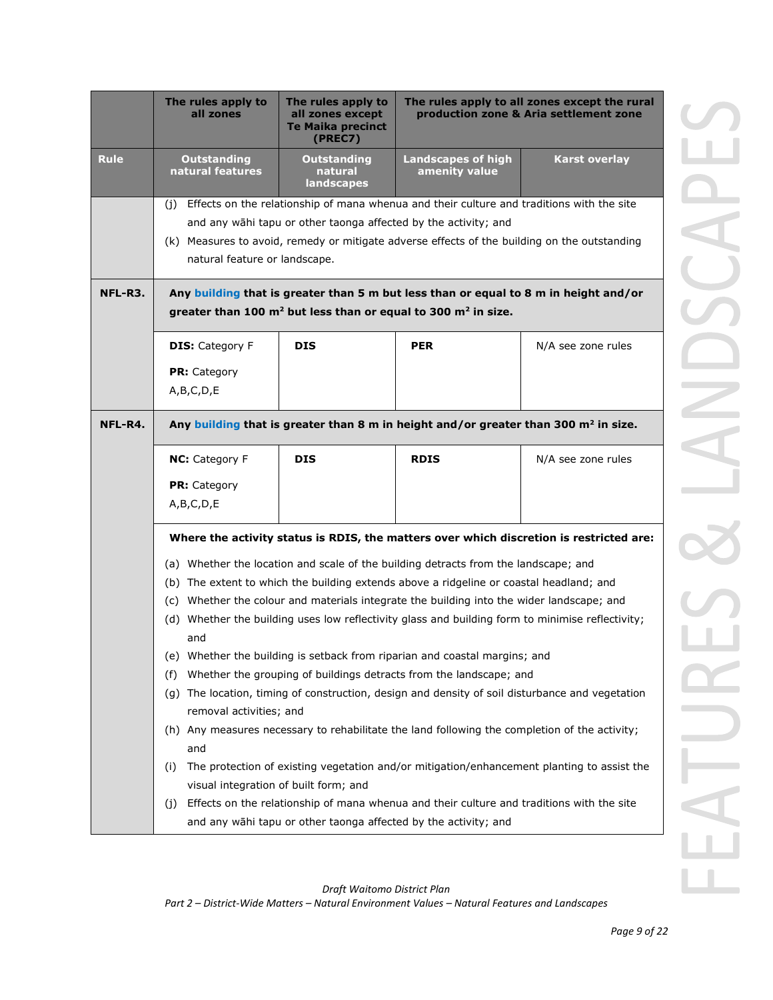|             | The rules apply to<br>all zones                                                                                                                                                                                                                                                                                                                                                                                                                                                                                                                                                                                                                                                                                                                                                                                                                                                                                                                                                                                                                                                                                                     | The rules apply to<br>all zones except<br><b>Te Maika precinct</b><br>(PREC7)                                                                                                                                                                                                                                                                                                         |                                            | The rules apply to all zones except the rural<br>production zone & Aria settlement zone |  |  |
|-------------|-------------------------------------------------------------------------------------------------------------------------------------------------------------------------------------------------------------------------------------------------------------------------------------------------------------------------------------------------------------------------------------------------------------------------------------------------------------------------------------------------------------------------------------------------------------------------------------------------------------------------------------------------------------------------------------------------------------------------------------------------------------------------------------------------------------------------------------------------------------------------------------------------------------------------------------------------------------------------------------------------------------------------------------------------------------------------------------------------------------------------------------|---------------------------------------------------------------------------------------------------------------------------------------------------------------------------------------------------------------------------------------------------------------------------------------------------------------------------------------------------------------------------------------|--------------------------------------------|-----------------------------------------------------------------------------------------|--|--|
| <b>Rule</b> | <b>Outstanding</b><br>natural features                                                                                                                                                                                                                                                                                                                                                                                                                                                                                                                                                                                                                                                                                                                                                                                                                                                                                                                                                                                                                                                                                              | <b>Outstanding</b><br>natural<br>landscapes                                                                                                                                                                                                                                                                                                                                           | <b>Landscapes of high</b><br>amenity value | <b>Karst overlay</b>                                                                    |  |  |
| NFL-R3.     | (j)                                                                                                                                                                                                                                                                                                                                                                                                                                                                                                                                                                                                                                                                                                                                                                                                                                                                                                                                                                                                                                                                                                                                 | Effects on the relationship of mana whenua and their culture and traditions with the site<br>and any wāhi tapu or other taonga affected by the activity; and<br>(k) Measures to avoid, remedy or mitigate adverse effects of the building on the outstanding<br>natural feature or landscape.<br>Any building that is greater than 5 m but less than or equal to 8 m in height and/or |                                            |                                                                                         |  |  |
|             | greater than 100 $m2$ but less than or equal to 300 $m2$ in size.                                                                                                                                                                                                                                                                                                                                                                                                                                                                                                                                                                                                                                                                                                                                                                                                                                                                                                                                                                                                                                                                   |                                                                                                                                                                                                                                                                                                                                                                                       |                                            |                                                                                         |  |  |
|             | <b>DIS: Category F</b><br><b>PR:</b> Category<br>A,B,C,D,E                                                                                                                                                                                                                                                                                                                                                                                                                                                                                                                                                                                                                                                                                                                                                                                                                                                                                                                                                                                                                                                                          | <b>DIS</b>                                                                                                                                                                                                                                                                                                                                                                            | <b>PER</b>                                 | N/A see zone rules                                                                      |  |  |
| NFL-R4.     | Any building that is greater than 8 m in height and/or greater than 300 m <sup>2</sup> in size.                                                                                                                                                                                                                                                                                                                                                                                                                                                                                                                                                                                                                                                                                                                                                                                                                                                                                                                                                                                                                                     |                                                                                                                                                                                                                                                                                                                                                                                       |                                            |                                                                                         |  |  |
|             | NC: Category F<br><b>PR:</b> Category<br>A,B,C,D,E                                                                                                                                                                                                                                                                                                                                                                                                                                                                                                                                                                                                                                                                                                                                                                                                                                                                                                                                                                                                                                                                                  | <b>DIS</b>                                                                                                                                                                                                                                                                                                                                                                            | <b>RDIS</b>                                | N/A see zone rules                                                                      |  |  |
|             | Where the activity status is RDIS, the matters over which discretion is restricted are:<br>(a) Whether the location and scale of the building detracts from the landscape; and<br>(b) The extent to which the building extends above a ridgeline or coastal headland; and<br>(c) Whether the colour and materials integrate the building into the wider landscape; and<br>(d) Whether the building uses low reflectivity glass and building form to minimise reflectivity;<br>and<br>Whether the building is setback from riparian and coastal margins; and<br>(e)<br>Whether the grouping of buildings detracts from the landscape; and<br>(f)<br>The location, timing of construction, design and density of soil disturbance and vegetation<br>(g)<br>removal activities; and<br>(h) Any measures necessary to rehabilitate the land following the completion of the activity;<br>and<br>The protection of existing vegetation and/or mitigation/enhancement planting to assist the<br>(i)<br>visual integration of built form; and<br>Effects on the relationship of mana whenua and their culture and traditions with the site |                                                                                                                                                                                                                                                                                                                                                                                       |                                            |                                                                                         |  |  |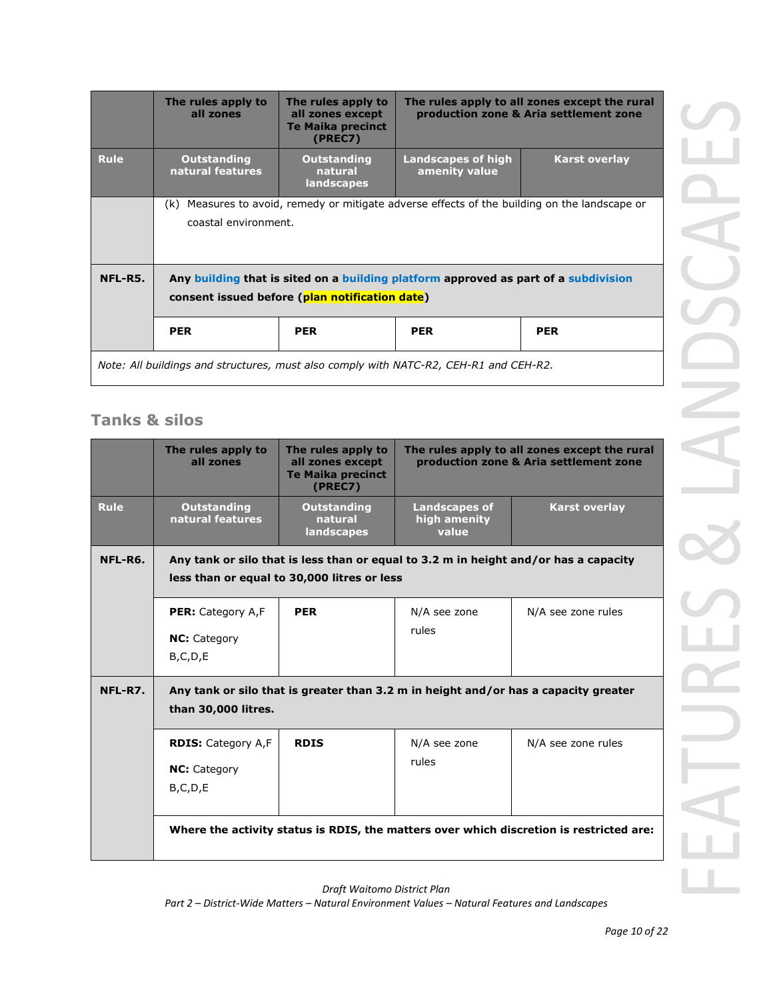|                                                                                       | The rules apply to<br>all zones                                                                                                       | The rules apply to<br>all zones except<br><b>Te Maika precinct</b><br>(PREC7) |                                     | The rules apply to all zones except the rural<br>production zone & Aria settlement zone |
|---------------------------------------------------------------------------------------|---------------------------------------------------------------------------------------------------------------------------------------|-------------------------------------------------------------------------------|-------------------------------------|-----------------------------------------------------------------------------------------|
| <b>Rule</b>                                                                           | <b>Outstanding</b><br>natural features                                                                                                | <b>Outstanding</b><br>natural<br>landscapes                                   | Landscapes of high<br>amenity value | <b>Karst overlay</b>                                                                    |
|                                                                                       | Measures to avoid, remedy or mitigate adverse effects of the building on the landscape or<br>(k)<br>coastal environment.              |                                                                               |                                     |                                                                                         |
| NFL-R5.                                                                               | Any building that is sited on a building platform approved as part of a subdivision<br>consent issued before (plan notification date) |                                                                               |                                     |                                                                                         |
|                                                                                       | <b>PER</b>                                                                                                                            | <b>PER</b>                                                                    | <b>PER</b>                          | <b>PER</b>                                                                              |
| Note: All buildings and structures, must also comply with NATC-R2, CEH-R1 and CEH-R2. |                                                                                                                                       |                                                                               |                                     |                                                                                         |

## **Tanks & silos**

|             | The rules apply to<br>all zones                                                                                                     | The rules apply to<br>all zones except<br><b>Te Maika precinct</b><br>(PREC7) | The rules apply to all zones except the rural<br>production zone & Aria settlement zone |                                                                                         |
|-------------|-------------------------------------------------------------------------------------------------------------------------------------|-------------------------------------------------------------------------------|-----------------------------------------------------------------------------------------|-----------------------------------------------------------------------------------------|
| <b>Rule</b> | <b>Outstanding</b><br>natural features                                                                                              | <b>Outstanding</b><br>natural<br>landscapes                                   | <b>Landscapes of</b><br>high amenity<br>value                                           | <b>Karst overlay</b>                                                                    |
| NFL-R6.     | Any tank or silo that is less than or equal to 3.2 m in height and/or has a capacity<br>less than or equal to 30,000 litres or less |                                                                               |                                                                                         |                                                                                         |
|             | PER: Category A,F<br><b>NC:</b> Category<br>B,C,D,E                                                                                 | <b>PER</b>                                                                    | N/A see zone<br>rules                                                                   | N/A see zone rules                                                                      |
| NFL-R7.     | than 30,000 litres.                                                                                                                 |                                                                               |                                                                                         | Any tank or silo that is greater than 3.2 m in height and/or has a capacity greater     |
|             | <b>RDIS: Category A,F</b><br><b>NC:</b> Category<br>B, C, D, E                                                                      | <b>RDIS</b>                                                                   | N/A see zone<br>rules                                                                   | N/A see zone rules                                                                      |
|             |                                                                                                                                     |                                                                               |                                                                                         | Where the activity status is RDIS, the matters over which discretion is restricted are: |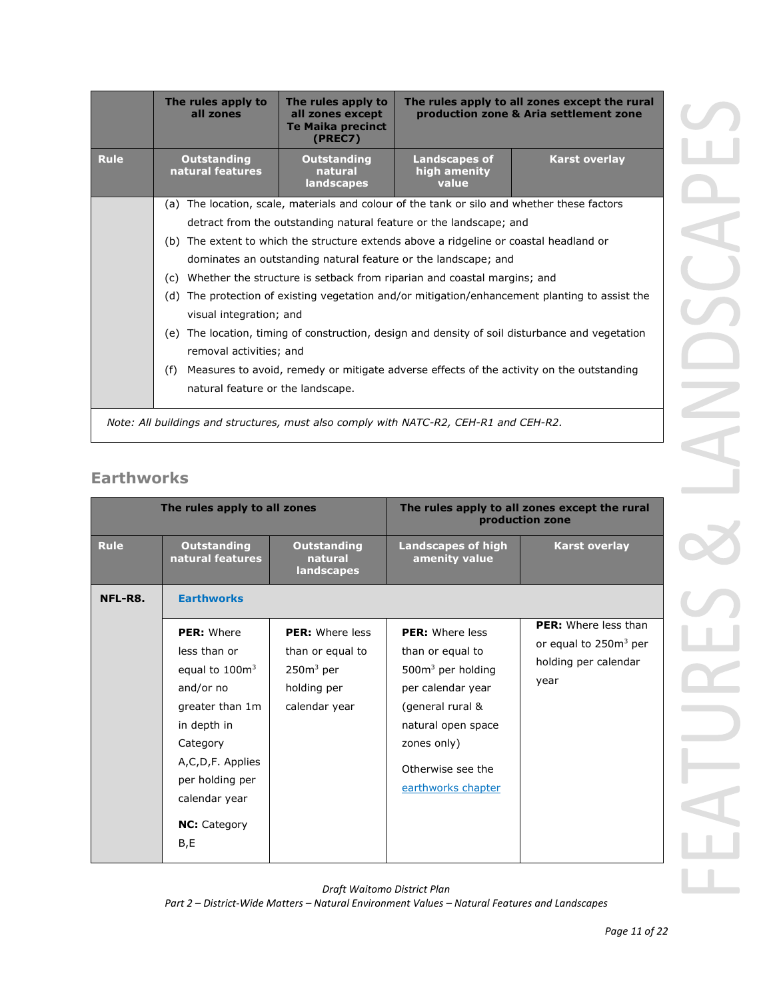|             | The rules apply to<br>all zones                                                                                                      | The rules apply to<br>all zones except<br><b>Te Maika precinct</b><br>(PREC7)           | The rules apply to all zones except the rural<br>production zone & Aria settlement zone |                      |  |
|-------------|--------------------------------------------------------------------------------------------------------------------------------------|-----------------------------------------------------------------------------------------|-----------------------------------------------------------------------------------------|----------------------|--|
| <b>Rule</b> | <b>Outstanding</b><br>natural features                                                                                               | <b>Outstanding</b><br>natural<br>landscapes                                             | <b>Landscapes of</b><br>high amenity<br>value                                           | <b>Karst overlay</b> |  |
|             | (a)                                                                                                                                  | The location, scale, materials and colour of the tank or silo and whether these factors |                                                                                         |                      |  |
|             | detract from the outstanding natural feature or the landscape; and                                                                   |                                                                                         |                                                                                         |                      |  |
|             | (b) The extent to which the structure extends above a ridgeline or coastal headland or                                               |                                                                                         |                                                                                         |                      |  |
|             | dominates an outstanding natural feature or the landscape; and                                                                       |                                                                                         |                                                                                         |                      |  |
|             | (c)                                                                                                                                  | Whether the structure is setback from riparian and coastal margins; and                 |                                                                                         |                      |  |
|             | The protection of existing vegetation and/or mitigation/enhancement planting to assist the<br>(d)<br>visual integration; and         |                                                                                         |                                                                                         |                      |  |
|             | The location, timing of construction, design and density of soil disturbance and vegetation<br>(e)<br>removal activities; and        |                                                                                         |                                                                                         |                      |  |
|             | Measures to avoid, remedy or mitigate adverse effects of the activity on the outstanding<br>(f)<br>natural feature or the landscape. |                                                                                         |                                                                                         |                      |  |
|             | Note: All buildings and structures, must also comply with NATC-R2, CEH-R1 and CEH-R2.                                                |                                                                                         |                                                                                         |                      |  |

## **Earthworks**

| The rules apply to all zones |                                                                                                                                                                                                        |                                                                                           |                                                                                                                                                                                           | The rules apply to all zones except the rural<br>production zone                                 |
|------------------------------|--------------------------------------------------------------------------------------------------------------------------------------------------------------------------------------------------------|-------------------------------------------------------------------------------------------|-------------------------------------------------------------------------------------------------------------------------------------------------------------------------------------------|--------------------------------------------------------------------------------------------------|
| <b>Rule</b>                  | <b>Outstanding</b><br>natural features                                                                                                                                                                 | <b>Outstanding</b><br>natural<br>landscapes                                               | <b>Landscapes of high</b><br>amenity value                                                                                                                                                | <b>Karst overlay</b>                                                                             |
| NFL-R8.                      | <b>Earthworks</b>                                                                                                                                                                                      |                                                                                           |                                                                                                                                                                                           |                                                                                                  |
|                              | <b>PER: Where</b><br>less than or<br>equal to $100m3$<br>and/or no<br>greater than 1m<br>in depth in<br>Category<br>A,C,D,F. Applies<br>per holding per<br>calendar year<br><b>NC:</b> Category<br>B,E | <b>PER:</b> Where less<br>than or equal to<br>$250m3$ per<br>holding per<br>calendar year | <b>PER:</b> Where less<br>than or equal to<br>$5003$ per holding<br>per calendar year<br>(general rural &<br>natural open space<br>zones only)<br>Otherwise see the<br>earthworks chapter | <b>PER:</b> Where less than<br>or equal to 250m <sup>3</sup> per<br>holding per calendar<br>year |

*Draft Waitomo District Plan*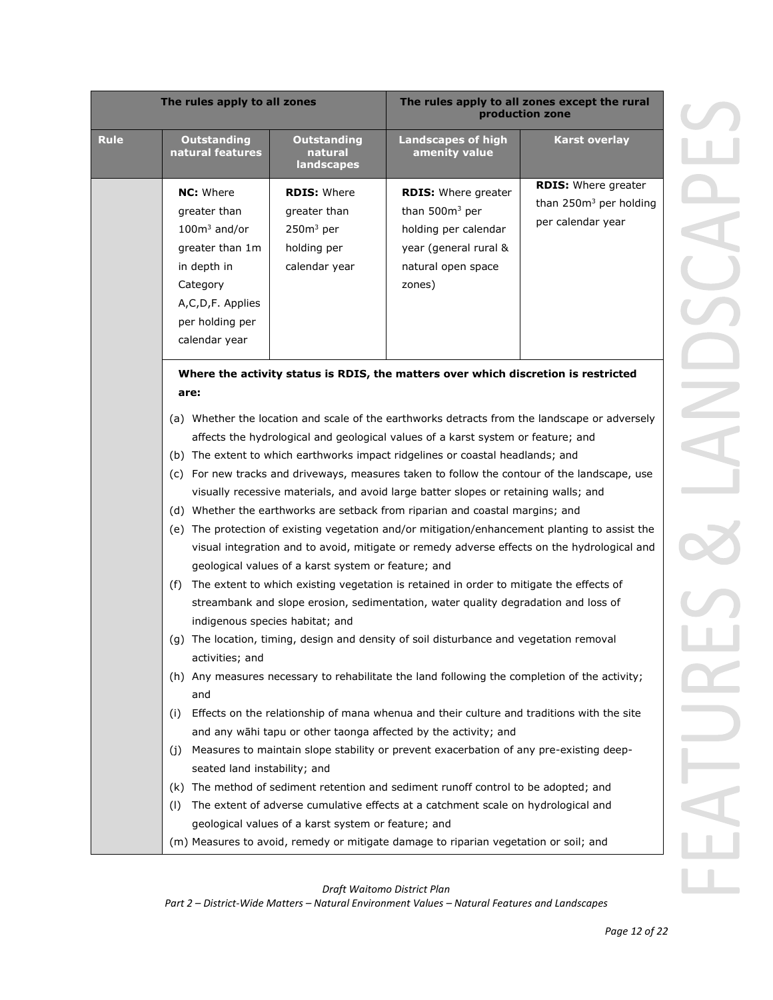|             | The rules apply to all zones                                                                                                                                                                                                                                                                                                                                                                                                                                                                                                                                                                                                                                                                                                                                                                                                                                                                                                                                                                                                                                                                                                                                                                                                                                                                                                                                                                                                                                                                                                                                                                                                                                                                                                                                                                              |                                                                                   | The rules apply to all zones except the rural<br>production zone                                                                |                                                                                       |  |  |
|-------------|-----------------------------------------------------------------------------------------------------------------------------------------------------------------------------------------------------------------------------------------------------------------------------------------------------------------------------------------------------------------------------------------------------------------------------------------------------------------------------------------------------------------------------------------------------------------------------------------------------------------------------------------------------------------------------------------------------------------------------------------------------------------------------------------------------------------------------------------------------------------------------------------------------------------------------------------------------------------------------------------------------------------------------------------------------------------------------------------------------------------------------------------------------------------------------------------------------------------------------------------------------------------------------------------------------------------------------------------------------------------------------------------------------------------------------------------------------------------------------------------------------------------------------------------------------------------------------------------------------------------------------------------------------------------------------------------------------------------------------------------------------------------------------------------------------------|-----------------------------------------------------------------------------------|---------------------------------------------------------------------------------------------------------------------------------|---------------------------------------------------------------------------------------|--|--|
| <b>Rule</b> | <b>Outstanding</b><br>natural features                                                                                                                                                                                                                                                                                                                                                                                                                                                                                                                                                                                                                                                                                                                                                                                                                                                                                                                                                                                                                                                                                                                                                                                                                                                                                                                                                                                                                                                                                                                                                                                                                                                                                                                                                                    | <b>Outstanding</b><br>natural<br>landscapes                                       | <b>Landscapes of high</b><br>amenity value                                                                                      | <b>Karst overlay</b>                                                                  |  |  |
|             | <b>NC:</b> Where<br>greater than<br>$100m3$ and/or<br>greater than 1m<br>in depth in<br>Category<br>A,C,D,F. Applies<br>per holding per<br>calendar year                                                                                                                                                                                                                                                                                                                                                                                                                                                                                                                                                                                                                                                                                                                                                                                                                                                                                                                                                                                                                                                                                                                                                                                                                                                                                                                                                                                                                                                                                                                                                                                                                                                  | <b>RDIS: Where</b><br>greater than<br>$250m3$ per<br>holding per<br>calendar year | <b>RDIS:</b> Where greater<br>than $500m3$ per<br>holding per calendar<br>year (general rural &<br>natural open space<br>zones) | <b>RDIS: Where greater</b><br>than 250m <sup>3</sup> per holding<br>per calendar year |  |  |
|             |                                                                                                                                                                                                                                                                                                                                                                                                                                                                                                                                                                                                                                                                                                                                                                                                                                                                                                                                                                                                                                                                                                                                                                                                                                                                                                                                                                                                                                                                                                                                                                                                                                                                                                                                                                                                           |                                                                                   | Where the activity status is RDIS, the matters over which discretion is restricted                                              |                                                                                       |  |  |
|             | are:                                                                                                                                                                                                                                                                                                                                                                                                                                                                                                                                                                                                                                                                                                                                                                                                                                                                                                                                                                                                                                                                                                                                                                                                                                                                                                                                                                                                                                                                                                                                                                                                                                                                                                                                                                                                      |                                                                                   |                                                                                                                                 |                                                                                       |  |  |
|             | (a) Whether the location and scale of the earthworks detracts from the landscape or adversely<br>affects the hydrological and geological values of a karst system or feature; and<br>(b) The extent to which earthworks impact ridgelines or coastal headlands; and<br>(c) For new tracks and driveways, measures taken to follow the contour of the landscape, use<br>visually recessive materials, and avoid large batter slopes or retaining walls; and<br>(d) Whether the earthworks are setback from riparian and coastal margins; and<br>(e) The protection of existing vegetation and/or mitigation/enhancement planting to assist the<br>visual integration and to avoid, mitigate or remedy adverse effects on the hydrological and<br>geological values of a karst system or feature; and<br>The extent to which existing vegetation is retained in order to mitigate the effects of<br>(f)<br>streambank and slope erosion, sedimentation, water quality degradation and loss of<br>indigenous species habitat; and<br>(g) The location, timing, design and density of soil disturbance and vegetation removal<br>activities; and<br>(h) Any measures necessary to rehabilitate the land following the completion of the activity;<br>and<br>Effects on the relationship of mana whenua and their culture and traditions with the site<br>(i)<br>and any wāhi tapu or other taonga affected by the activity; and<br>Measures to maintain slope stability or prevent exacerbation of any pre-existing deep-<br>(j)<br>seated land instability; and<br>The method of sediment retention and sediment runoff control to be adopted; and<br>(k)<br>The extent of adverse cumulative effects at a catchment scale on hydrological and<br>(1)<br>geological values of a karst system or feature; and |                                                                                   |                                                                                                                                 | (m) Measures to avoid, remedy or mitigate damage to riparian vegetation or soil; and  |  |  |

*Draft Waitomo District Plan*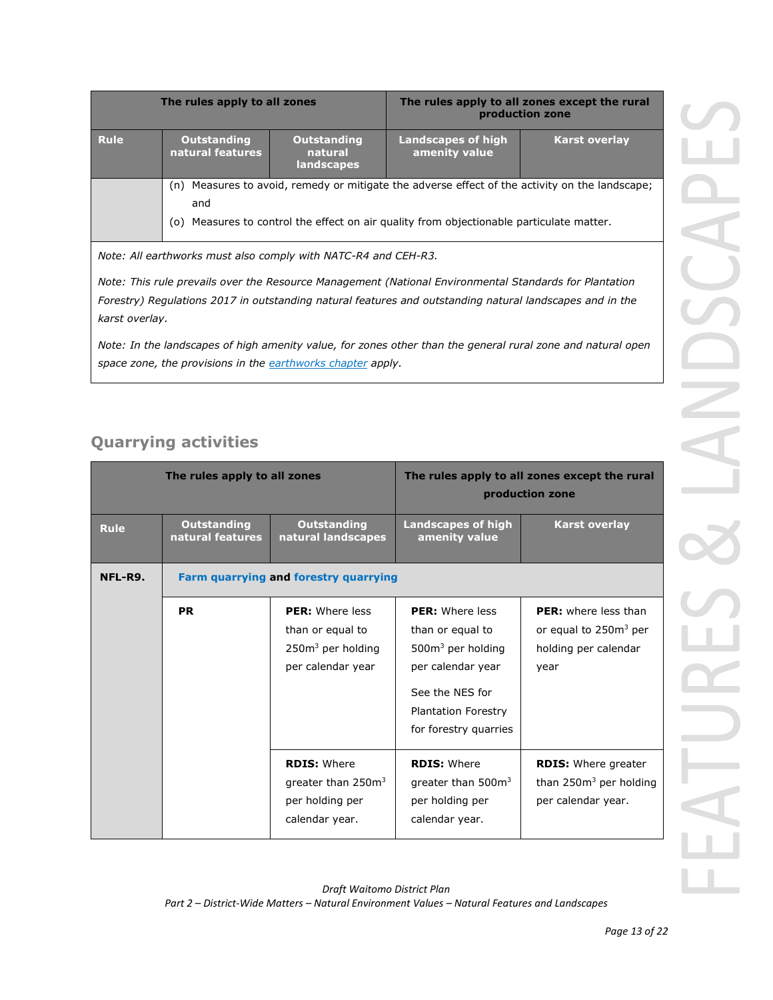| The rules apply to all zones                                   |                                                                                                                                                                                                         | The rules apply to all zones except the rural<br>production zone |                                            |                      |  |
|----------------------------------------------------------------|---------------------------------------------------------------------------------------------------------------------------------------------------------------------------------------------------------|------------------------------------------------------------------|--------------------------------------------|----------------------|--|
| <b>Rule</b>                                                    | <b>Outstanding</b><br>natural features                                                                                                                                                                  | <b>Outstanding</b><br>natural<br><b>landscapes</b>               | <b>Landscapes of high</b><br>amenity value | <b>Karst overlay</b> |  |
|                                                                | Measures to avoid, remedy or mitigate the adverse effect of the activity on the landscape;<br>(n)<br>and<br>Measures to control the effect on air quality from objectionable particulate matter.<br>(0) |                                                                  |                                            |                      |  |
| Note: All earthworks must also comply with NATC-R4 and CEH-R3. |                                                                                                                                                                                                         |                                                                  |                                            |                      |  |

*Note: This rule prevails over the Resource Management (National Environmental Standards for Plantation Forestry) Regulations 2017 in outstanding natural features and outstanding natural landscapes and in the karst overlay.*

*Note: In the landscapes of high amenity value, for zones other than the general rural zone and natural open space zone, the provisions in the earthworks chapter apply.*

## **Quarrying activities**

| The rules apply to all zones |                                        |                                                                                           |                                                                                                                                                                 | The rules apply to all zones except the rural<br>production zone                                 |
|------------------------------|----------------------------------------|-------------------------------------------------------------------------------------------|-----------------------------------------------------------------------------------------------------------------------------------------------------------------|--------------------------------------------------------------------------------------------------|
| <b>Rule</b>                  | <b>Outstanding</b><br>natural features | <b>Outstanding</b><br>natural landscapes                                                  | <b>Landscapes of high</b><br>amenity value                                                                                                                      | <b>Karst overlay</b>                                                                             |
| NFL-R9.                      | Farm quarrying and forestry quarrying  |                                                                                           |                                                                                                                                                                 |                                                                                                  |
|                              | <b>PR</b>                              | <b>PER:</b> Where less<br>than or equal to<br>$2503$ per holding<br>per calendar year     | <b>PER:</b> Where less<br>than or equal to<br>$5003$ per holding<br>per calendar year<br>See the NFS for<br><b>Plantation Forestry</b><br>for forestry quarries | <b>PER:</b> where less than<br>or equal to 250m <sup>3</sup> per<br>holding per calendar<br>year |
|                              |                                        | <b>RDIS: Where</b><br>greater than 250m <sup>3</sup><br>per holding per<br>calendar year. | <b>RDIS: Where</b><br>greater than 500m <sup>3</sup><br>per holding per<br>calendar year.                                                                       | <b>RDIS:</b> Where greater<br>than $250m3$ per holding<br>per calendar year.                     |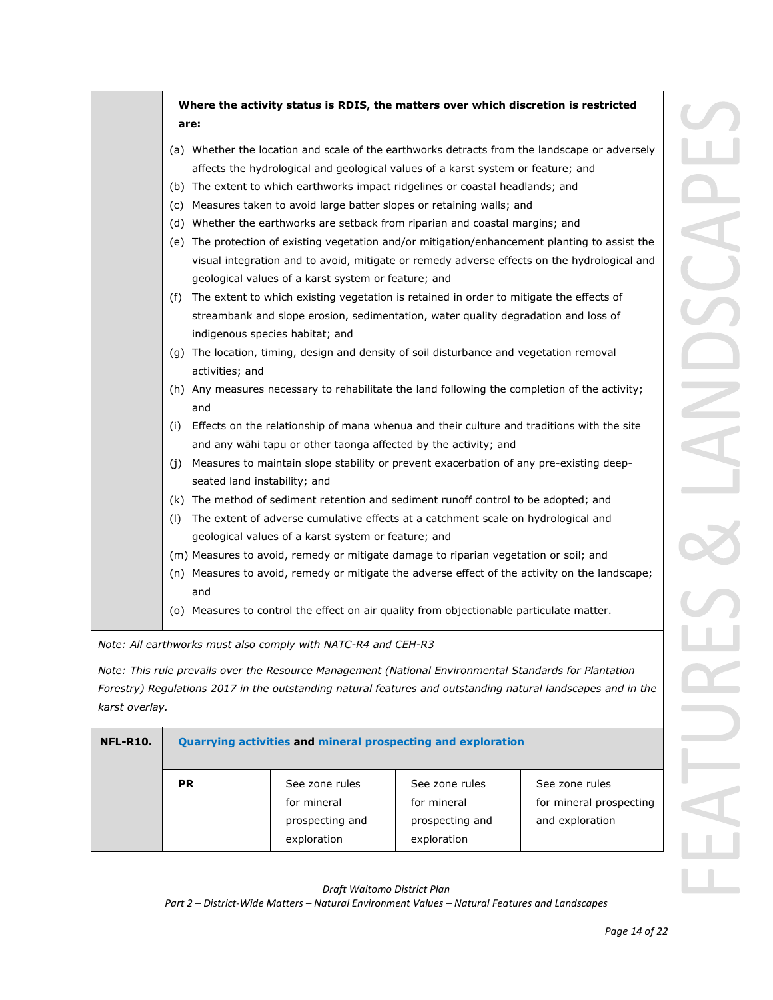|                 |                                                                |                                                                                                                                               | Where the activity status is RDIS, the matters over which discretion is restricted                                                                                                                                                                                                                                                                                                                                                                                                                                                                                                                                                                                                                                                                                                                                                                                                                                                                                                                                                                      |                                                                                                                                                                                                                                                                                                                                                                                                                                                                                                                                                                                                    |
|-----------------|----------------------------------------------------------------|-----------------------------------------------------------------------------------------------------------------------------------------------|---------------------------------------------------------------------------------------------------------------------------------------------------------------------------------------------------------------------------------------------------------------------------------------------------------------------------------------------------------------------------------------------------------------------------------------------------------------------------------------------------------------------------------------------------------------------------------------------------------------------------------------------------------------------------------------------------------------------------------------------------------------------------------------------------------------------------------------------------------------------------------------------------------------------------------------------------------------------------------------------------------------------------------------------------------|----------------------------------------------------------------------------------------------------------------------------------------------------------------------------------------------------------------------------------------------------------------------------------------------------------------------------------------------------------------------------------------------------------------------------------------------------------------------------------------------------------------------------------------------------------------------------------------------------|
|                 |                                                                |                                                                                                                                               |                                                                                                                                                                                                                                                                                                                                                                                                                                                                                                                                                                                                                                                                                                                                                                                                                                                                                                                                                                                                                                                         |                                                                                                                                                                                                                                                                                                                                                                                                                                                                                                                                                                                                    |
|                 | are:<br>activities; and<br>and<br>seated land instability; and | geological values of a karst system or feature; and<br>indigenous species habitat; and<br>geological values of a karst system or feature; and | affects the hydrological and geological values of a karst system or feature; and<br>(b) The extent to which earthworks impact ridgelines or coastal headlands; and<br>(c) Measures taken to avoid large batter slopes or retaining walls; and<br>(d) Whether the earthworks are setback from riparian and coastal margins; and<br>(f) The extent to which existing vegetation is retained in order to mitigate the effects of<br>streambank and slope erosion, sedimentation, water quality degradation and loss of<br>(g) The location, timing, design and density of soil disturbance and vegetation removal<br>and any wāhi tapu or other taonga affected by the activity; and<br>(j) Measures to maintain slope stability or prevent exacerbation of any pre-existing deep-<br>(k) The method of sediment retention and sediment runoff control to be adopted; and<br>(I) The extent of adverse cumulative effects at a catchment scale on hydrological and<br>(m) Measures to avoid, remedy or mitigate damage to riparian vegetation or soil; and | (a) Whether the location and scale of the earthworks detracts from the landscape or adversely<br>(e) The protection of existing vegetation and/or mitigation/enhancement planting to assist the<br>visual integration and to avoid, mitigate or remedy adverse effects on the hydrological and<br>(h) Any measures necessary to rehabilitate the land following the completion of the activity;<br>(i) Effects on the relationship of mana whenua and their culture and traditions with the site<br>(n) Measures to avoid, remedy or mitigate the adverse effect of the activity on the landscape; |
|                 | and                                                            |                                                                                                                                               |                                                                                                                                                                                                                                                                                                                                                                                                                                                                                                                                                                                                                                                                                                                                                                                                                                                                                                                                                                                                                                                         |                                                                                                                                                                                                                                                                                                                                                                                                                                                                                                                                                                                                    |
|                 |                                                                |                                                                                                                                               | (o) Measures to control the effect on air quality from objectionable particulate matter.                                                                                                                                                                                                                                                                                                                                                                                                                                                                                                                                                                                                                                                                                                                                                                                                                                                                                                                                                                |                                                                                                                                                                                                                                                                                                                                                                                                                                                                                                                                                                                                    |
|                 |                                                                | Note: All earthworks must also comply with NATC-R4 and CEH-R3                                                                                 |                                                                                                                                                                                                                                                                                                                                                                                                                                                                                                                                                                                                                                                                                                                                                                                                                                                                                                                                                                                                                                                         |                                                                                                                                                                                                                                                                                                                                                                                                                                                                                                                                                                                                    |
| karst overlay.  |                                                                |                                                                                                                                               | Note: This rule prevails over the Resource Management (National Environmental Standards for Plantation                                                                                                                                                                                                                                                                                                                                                                                                                                                                                                                                                                                                                                                                                                                                                                                                                                                                                                                                                  | Forestry) Regulations 2017 in the outstanding natural features and outstanding natural landscapes and in the                                                                                                                                                                                                                                                                                                                                                                                                                                                                                       |
| <b>NFL-R10.</b> |                                                                |                                                                                                                                               | Quarrying activities and mineral prospecting and exploration                                                                                                                                                                                                                                                                                                                                                                                                                                                                                                                                                                                                                                                                                                                                                                                                                                                                                                                                                                                            |                                                                                                                                                                                                                                                                                                                                                                                                                                                                                                                                                                                                    |
|                 | <b>PR</b>                                                      | See zone rules                                                                                                                                | See zone rules                                                                                                                                                                                                                                                                                                                                                                                                                                                                                                                                                                                                                                                                                                                                                                                                                                                                                                                                                                                                                                          | See zone rules                                                                                                                                                                                                                                                                                                                                                                                                                                                                                                                                                                                     |

prospecting and exploration prospecting and exploration and exploration

for mineral

*Draft Waitomo District Plan*

for mineral

*Part 2 – District-Wide Matters – Natural Environment Values – Natural Features and Landscapes*

for mineral prospecting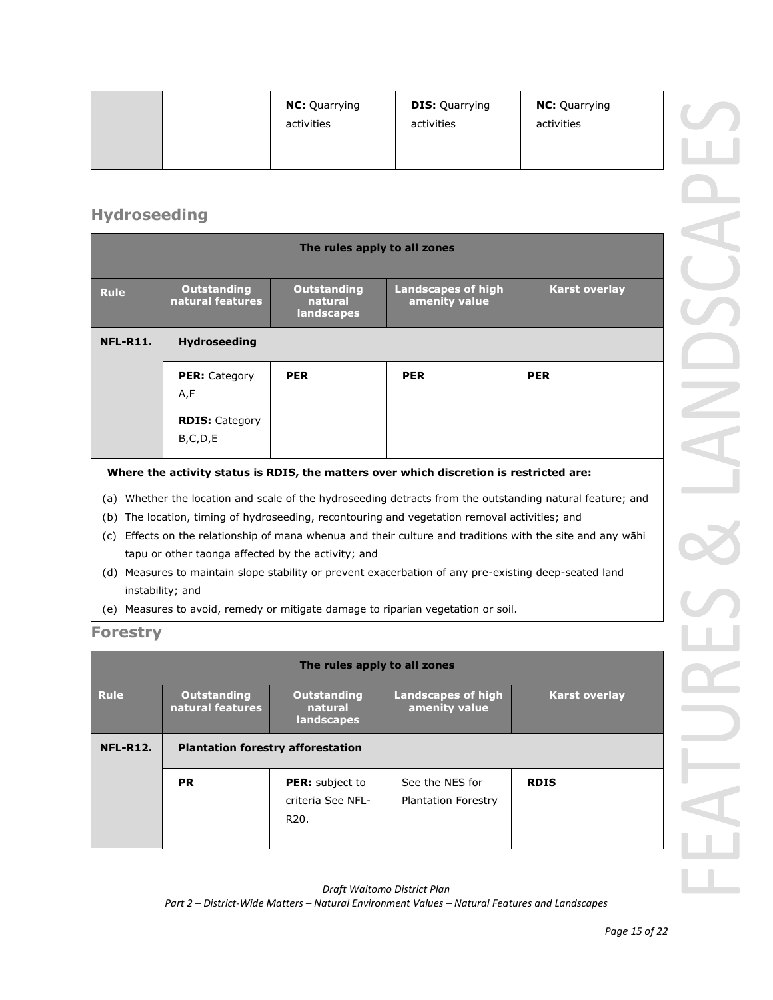|  | <b>NC:</b> Quarrying<br>activities | <b>DIS: Quarrying</b><br>activities | <b>NC:</b> Quarrying<br>activities |  |
|--|------------------------------------|-------------------------------------|------------------------------------|--|
|--|------------------------------------|-------------------------------------|------------------------------------|--|

## **Hydroseeding**

| The rules apply to all zones                                                            |                                        |                                             |                                            |                                                                                                       |
|-----------------------------------------------------------------------------------------|----------------------------------------|---------------------------------------------|--------------------------------------------|-------------------------------------------------------------------------------------------------------|
| <b>Rule</b>                                                                             | <b>Outstanding</b><br>natural features | <b>Outstanding</b><br>natural<br>landscapes | <b>Landscapes of high</b><br>amenity value | <b>Karst overlay</b>                                                                                  |
| <b>NFL-R11.</b>                                                                         | <b>Hydroseeding</b>                    |                                             |                                            |                                                                                                       |
|                                                                                         | <b>PER: Category</b><br>A,F            | <b>PER</b>                                  | <b>PER</b>                                 | <b>PER</b>                                                                                            |
|                                                                                         | <b>RDIS: Category</b><br>B,C,D,E       |                                             |                                            |                                                                                                       |
| Where the activity status is RDIS, the matters over which discretion is restricted are: |                                        |                                             |                                            |                                                                                                       |
| (a)                                                                                     |                                        |                                             |                                            | Whether the location and scale of the hydroseeding detracts from the outstanding natural feature; and |

- (b) The location, timing of hydroseeding, recontouring and vegetation removal activities; and
- (c) Effects on the relationship of mana whenua and their culture and traditions with the site and any wāhi tapu or other taonga affected by the activity; and
- (d) Measures to maintain slope stability or prevent exacerbation of any pre-existing deep-seated land instability; and
- (e) Measures to avoid, remedy or mitigate damage to riparian vegetation or soil.

### **Forestry**

| The rules apply to all zones |                                          |                                                                  |                                               |                      |  |  |
|------------------------------|------------------------------------------|------------------------------------------------------------------|-----------------------------------------------|----------------------|--|--|
| <b>Rule</b>                  | <b>Outstanding</b><br>natural features   | <b>Outstanding</b><br>natural<br>landscapes                      | Landscapes of high<br>amenity value           | <b>Karst overlay</b> |  |  |
| <b>NFL-R12.</b>              | <b>Plantation forestry afforestation</b> |                                                                  |                                               |                      |  |  |
|                              | <b>PR</b>                                | <b>PER:</b> subject to<br>criteria See NFL-<br>R <sub>20</sub> . | See the NES for<br><b>Plantation Forestry</b> | <b>RDIS</b>          |  |  |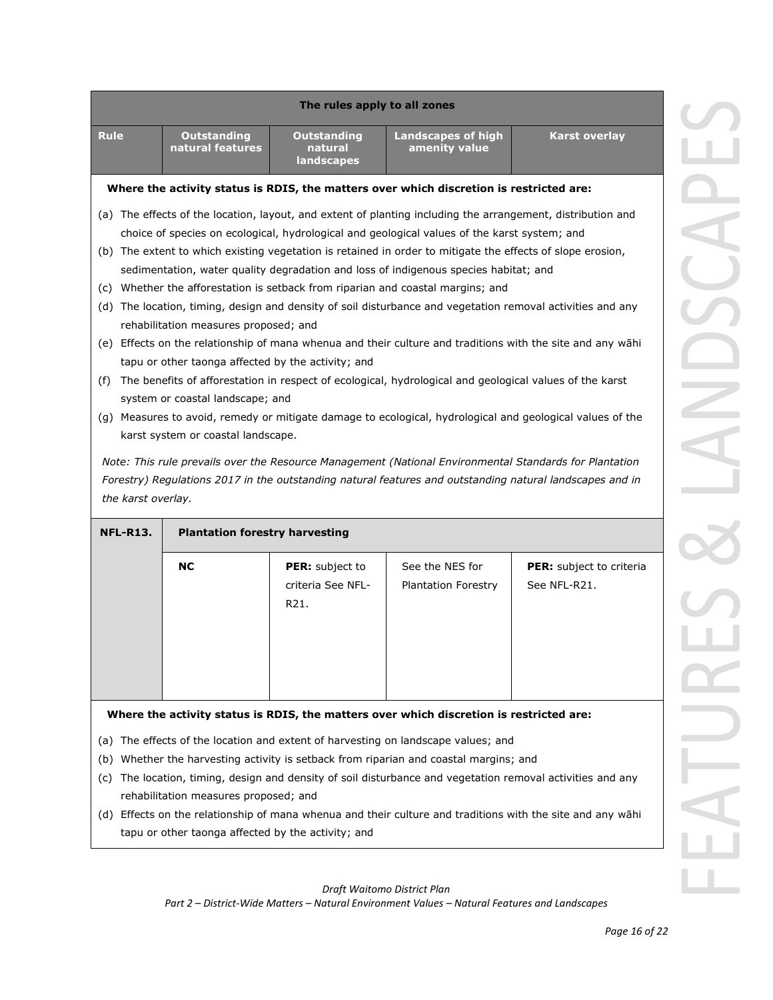| The rules apply to all zones                                                                               |                                                                                                             |                                             |                                            |                                                                                                        |  |  |
|------------------------------------------------------------------------------------------------------------|-------------------------------------------------------------------------------------------------------------|---------------------------------------------|--------------------------------------------|--------------------------------------------------------------------------------------------------------|--|--|
| <b>Rule</b>                                                                                                | <b>Outstanding</b><br>natural features                                                                      | <b>Outstanding</b><br>natural<br>landscapes | <b>Landscapes of high</b><br>amenity value | <b>Karst overlay</b>                                                                                   |  |  |
|                                                                                                            | Where the activity status is RDIS, the matters over which discretion is restricted are:                     |                                             |                                            |                                                                                                        |  |  |
|                                                                                                            | (a) The effects of the location, layout, and extent of planting including the arrangement, distribution and |                                             |                                            |                                                                                                        |  |  |
|                                                                                                            | choice of species on ecological, hydrological and geological values of the karst system; and                |                                             |                                            |                                                                                                        |  |  |
| (b) The extent to which existing vegetation is retained in order to mitigate the effects of slope erosion, |                                                                                                             |                                             |                                            |                                                                                                        |  |  |
|                                                                                                            | sedimentation, water quality degradation and loss of indigenous species habitat; and                        |                                             |                                            |                                                                                                        |  |  |
|                                                                                                            | (c) Whether the afforestation is setback from riparian and coastal margins; and                             |                                             |                                            |                                                                                                        |  |  |
|                                                                                                            | (d) The location, timing, design and density of soil disturbance and vegetation removal activities and any  |                                             |                                            |                                                                                                        |  |  |
|                                                                                                            | rehabilitation measures proposed; and                                                                       |                                             |                                            |                                                                                                        |  |  |
| (e) Effects on the relationship of mana whenua and their culture and traditions with the site and any wāhi |                                                                                                             |                                             |                                            |                                                                                                        |  |  |
|                                                                                                            | tapu or other taonga affected by the activity; and                                                          |                                             |                                            |                                                                                                        |  |  |
| (f)                                                                                                        | The benefits of afforestation in respect of ecological, hydrological and geological values of the karst     |                                             |                                            |                                                                                                        |  |  |
|                                                                                                            | system or coastal landscape; and                                                                            |                                             |                                            |                                                                                                        |  |  |
| (g) Measures to avoid, remedy or mitigate damage to ecological, hydrological and geological values of the  |                                                                                                             |                                             |                                            |                                                                                                        |  |  |
| karst system or coastal landscape.                                                                         |                                                                                                             |                                             |                                            |                                                                                                        |  |  |
|                                                                                                            |                                                                                                             |                                             |                                            | Note: This rule prevails over the Resource Management (National Environmental Standards for Plantation |  |  |
| Forestry) Regulations 2017 in the outstanding natural features and outstanding natural landscapes and in   |                                                                                                             |                                             |                                            |                                                                                                        |  |  |
| the karst overlay.                                                                                         |                                                                                                             |                                             |                                            |                                                                                                        |  |  |
| <b>NFL-R13.</b>                                                                                            | <b>Plantation forestry harvesting</b>                                                                       |                                             |                                            |                                                                                                        |  |  |
|                                                                                                            | <b>NC</b>                                                                                                   | PER: subject to                             | See the NES for                            | <b>PER:</b> subject to criteria                                                                        |  |  |
|                                                                                                            |                                                                                                             | criteria See NFL-<br>R21.                   | <b>Plantation Forestry</b>                 | See NFL-R21.                                                                                           |  |  |

### **Where the activity status is RDIS, the matters over which discretion is restricted are:**

- (a) The effects of the location and extent of harvesting on landscape values; and
- (b) Whether the harvesting activity is setback from riparian and coastal margins; and
- (c) The location, timing, design and density of soil disturbance and vegetation removal activities and any rehabilitation measures proposed; and
- (d) Effects on the relationship of mana whenua and their culture and traditions with the site and any wāhi tapu or other taonga affected by the activity; and

## *Draft Waitomo District Plan*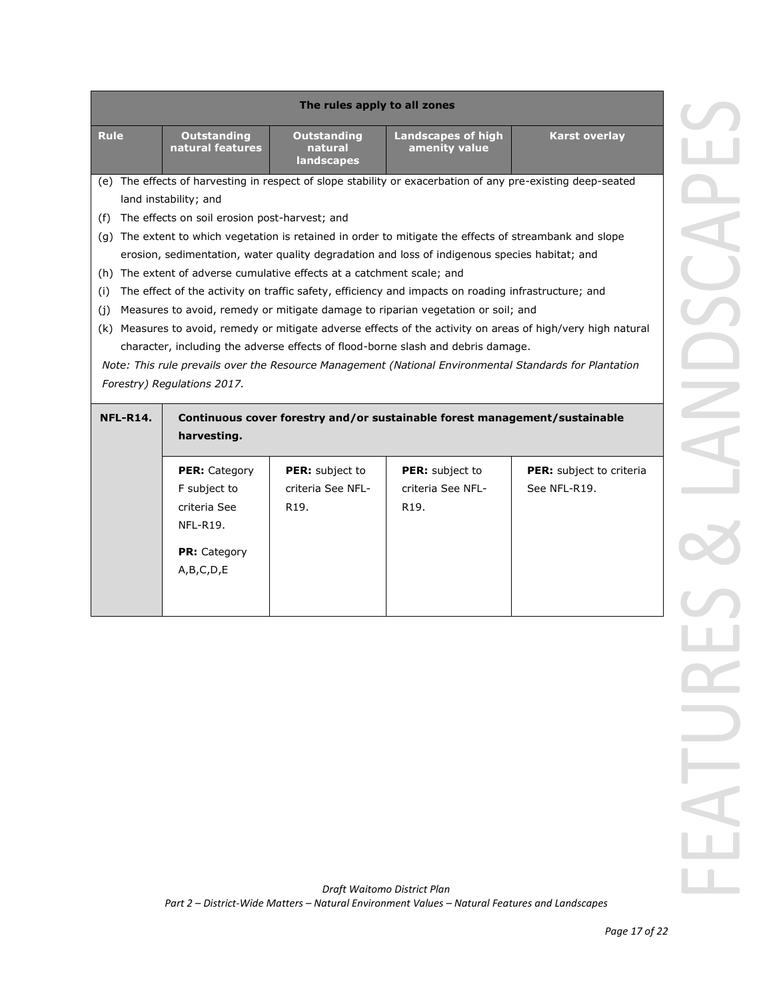| The rules apply to all zones                                                                                                                                                               |                                                                                                              |                                                                        |                                                                                                         |                                 |  |  |  |
|--------------------------------------------------------------------------------------------------------------------------------------------------------------------------------------------|--------------------------------------------------------------------------------------------------------------|------------------------------------------------------------------------|---------------------------------------------------------------------------------------------------------|---------------------------------|--|--|--|
| <b>Rule</b>                                                                                                                                                                                | <b>Outstanding</b><br>natural features                                                                       | <b>Outstanding</b><br>natural<br>landscapes                            | <b>Landscapes of high</b><br>amenity value                                                              | <b>Karst overlay</b>            |  |  |  |
|                                                                                                                                                                                            | (e) The effects of harvesting in respect of slope stability or exacerbation of any pre-existing deep-seated  |                                                                        |                                                                                                         |                                 |  |  |  |
|                                                                                                                                                                                            | land instability; and                                                                                        |                                                                        |                                                                                                         |                                 |  |  |  |
| (f)                                                                                                                                                                                        | The effects on soil erosion post-harvest; and                                                                |                                                                        |                                                                                                         |                                 |  |  |  |
|                                                                                                                                                                                            |                                                                                                              |                                                                        | (g) The extent to which vegetation is retained in order to mitigate the effects of streambank and slope |                                 |  |  |  |
|                                                                                                                                                                                            |                                                                                                              |                                                                        | erosion, sedimentation, water quality degradation and loss of indigenous species habitat; and           |                                 |  |  |  |
|                                                                                                                                                                                            |                                                                                                              | (h) The extent of adverse cumulative effects at a catchment scale; and |                                                                                                         |                                 |  |  |  |
| (i)                                                                                                                                                                                        |                                                                                                              |                                                                        | The effect of the activity on traffic safety, efficiency and impacts on roading infrastructure; and     |                                 |  |  |  |
| (i)                                                                                                                                                                                        |                                                                                                              |                                                                        | Measures to avoid, remedy or mitigate damage to riparian vegetation or soil; and                        |                                 |  |  |  |
|                                                                                                                                                                                            | (k) Measures to avoid, remedy or mitigate adverse effects of the activity on areas of high/very high natural |                                                                        |                                                                                                         |                                 |  |  |  |
| character, including the adverse effects of flood-borne slash and debris damage.<br>Note: This rule prevails over the Resource Management (National Environmental Standards for Plantation |                                                                                                              |                                                                        |                                                                                                         |                                 |  |  |  |
|                                                                                                                                                                                            |                                                                                                              |                                                                        |                                                                                                         |                                 |  |  |  |
|                                                                                                                                                                                            |                                                                                                              |                                                                        |                                                                                                         |                                 |  |  |  |
|                                                                                                                                                                                            | Forestry) Regulations 2017.                                                                                  |                                                                        |                                                                                                         |                                 |  |  |  |
| <b>NFL-R14.</b>                                                                                                                                                                            |                                                                                                              |                                                                        | Continuous cover forestry and/or sustainable forest management/sustainable                              |                                 |  |  |  |
|                                                                                                                                                                                            | harvesting.                                                                                                  |                                                                        |                                                                                                         |                                 |  |  |  |
|                                                                                                                                                                                            | <b>PER: Category</b>                                                                                         | <b>PER:</b> subject to                                                 | <b>PER:</b> subject to                                                                                  | <b>PER:</b> subject to criteria |  |  |  |
|                                                                                                                                                                                            | F subject to                                                                                                 | criteria See NFL-                                                      | criteria See NFL-                                                                                       | See NFL-R19.                    |  |  |  |
|                                                                                                                                                                                            | criteria See                                                                                                 | R <sub>19</sub> .                                                      | R <sub>19</sub> .                                                                                       |                                 |  |  |  |
|                                                                                                                                                                                            | NFL-R19.                                                                                                     |                                                                        |                                                                                                         |                                 |  |  |  |
|                                                                                                                                                                                            | <b>PR:</b> Category                                                                                          |                                                                        |                                                                                                         |                                 |  |  |  |
|                                                                                                                                                                                            |                                                                                                              |                                                                        |                                                                                                         |                                 |  |  |  |
|                                                                                                                                                                                            | A,B,C,D,E                                                                                                    |                                                                        |                                                                                                         |                                 |  |  |  |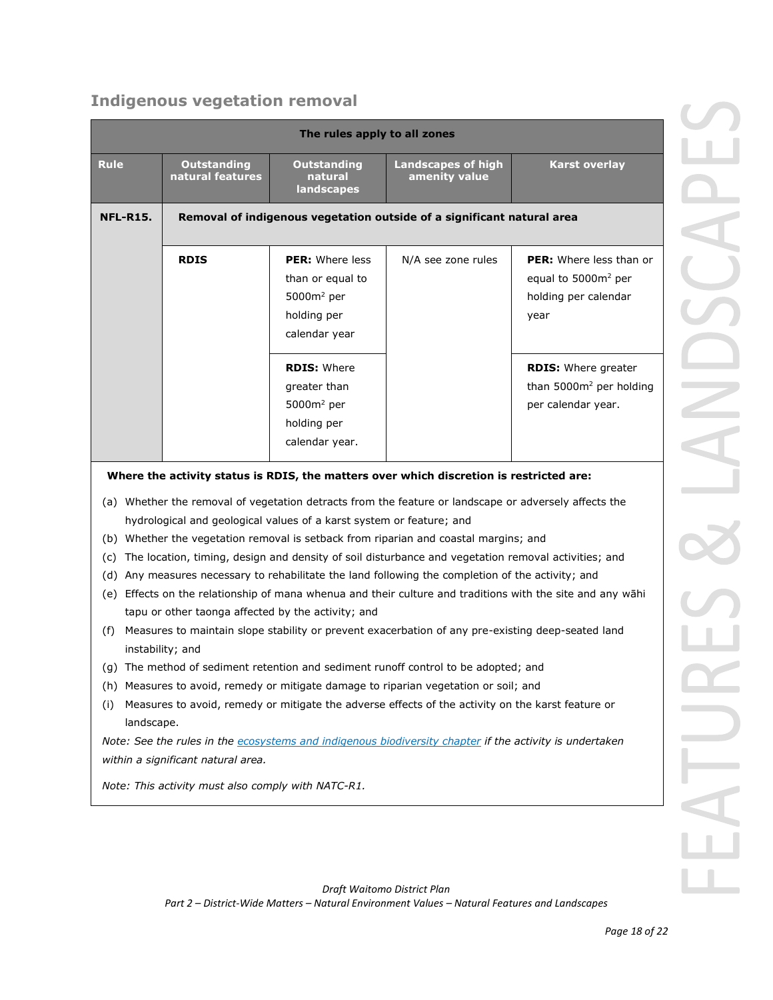# **Indigenous vegetation removal**

| The rules apply to all zones                                                                                                                                                                                                                                                                                                                                     |                                                                        |                                                                                     |                                                                                                                                                                                                                                                                                                           |                                                                                                            |  |
|------------------------------------------------------------------------------------------------------------------------------------------------------------------------------------------------------------------------------------------------------------------------------------------------------------------------------------------------------------------|------------------------------------------------------------------------|-------------------------------------------------------------------------------------|-----------------------------------------------------------------------------------------------------------------------------------------------------------------------------------------------------------------------------------------------------------------------------------------------------------|------------------------------------------------------------------------------------------------------------|--|
| <b>Rule</b>                                                                                                                                                                                                                                                                                                                                                      | <b>Outstanding</b><br>natural features                                 | <b>Outstanding</b><br>natural<br>landscapes                                         | <b>Landscapes of high</b><br>amenity value                                                                                                                                                                                                                                                                | <b>Karst overlay</b>                                                                                       |  |
| <b>NFL-R15.</b>                                                                                                                                                                                                                                                                                                                                                  | Removal of indigenous vegetation outside of a significant natural area |                                                                                     |                                                                                                                                                                                                                                                                                                           |                                                                                                            |  |
|                                                                                                                                                                                                                                                                                                                                                                  | <b>RDIS</b>                                                            | PER: Where less<br>than or equal to<br>$5000m2$ per<br>holding per<br>calendar year | N/A see zone rules                                                                                                                                                                                                                                                                                        | <b>PER:</b> Where less than or<br>equal to 5000m <sup>2</sup> per<br>holding per calendar<br>year          |  |
|                                                                                                                                                                                                                                                                                                                                                                  |                                                                        | <b>RDIS: Where</b><br>greater than<br>$5000m2$ per<br>holding per<br>calendar year. |                                                                                                                                                                                                                                                                                                           | <b>RDIS: Where greater</b><br>than 5000m <sup>2</sup> per holding<br>per calendar year.                    |  |
| Where the activity status is RDIS, the matters over which discretion is restricted are:<br>(a) Whether the removal of vegetation detracts from the feature or landscape or adversely affects the<br>hydrological and geological values of a karst system or feature; and<br>(b) Whether the vegetation removal is setback from riparian and coastal margins; and |                                                                        |                                                                                     |                                                                                                                                                                                                                                                                                                           |                                                                                                            |  |
| (C)<br>(d)<br>(f)                                                                                                                                                                                                                                                                                                                                                | tapu or other taonga affected by the activity; and<br>instability; and |                                                                                     | The location, timing, design and density of soil disturbance and vegetation removal activities; and<br>Any measures necessary to rehabilitate the land following the completion of the activity; and<br>Measures to maintain slope stability or prevent exacerbation of any pre-existing deep-seated land | (e) Effects on the relationship of mana whenua and their culture and traditions with the site and any wāhi |  |
| (g) The method of sediment retention and sediment runoff control to be adopted; and<br>Measures to avoid, remedy or mitigate damage to riparian vegetation or soil; and<br>(h)<br>Measures to avoid, remedy or mitigate the adverse effects of the activity on the karst feature or<br>(i)<br>landscape.                                                         |                                                                        |                                                                                     |                                                                                                                                                                                                                                                                                                           |                                                                                                            |  |
| Note: See the rules in the ecosystems and indigenous biodiversity chapter if the activity is undertaken<br>within a significant natural area.                                                                                                                                                                                                                    |                                                                        |                                                                                     |                                                                                                                                                                                                                                                                                                           |                                                                                                            |  |
| Note: This activity must also comply with NATC-R1.                                                                                                                                                                                                                                                                                                               |                                                                        |                                                                                     |                                                                                                                                                                                                                                                                                                           |                                                                                                            |  |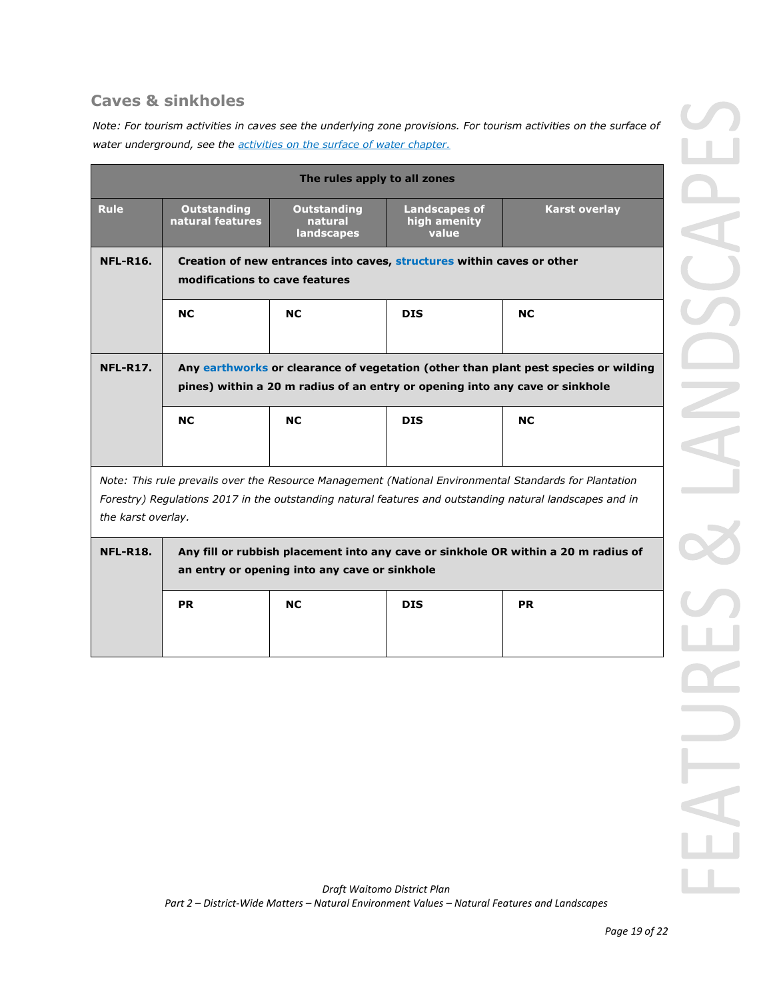## **Caves & sinkholes**

*Note: For tourism activities in caves see the underlying zone provisions. For tourism activities on the surface of water underground, see the activities on the surface of water chapter.* 

| The rules apply to all zones                                                                                                                                                                                                             |                                                                                                                                                                     |                                             |                                               |                      |  |
|------------------------------------------------------------------------------------------------------------------------------------------------------------------------------------------------------------------------------------------|---------------------------------------------------------------------------------------------------------------------------------------------------------------------|---------------------------------------------|-----------------------------------------------|----------------------|--|
| <b>Rule</b>                                                                                                                                                                                                                              | <b>Outstanding</b><br>natural features                                                                                                                              | <b>Outstanding</b><br>natural<br>landscapes | <b>Landscapes of</b><br>high amenity<br>value | <b>Karst overlay</b> |  |
| <b>NFL-R16.</b>                                                                                                                                                                                                                          | Creation of new entrances into caves, structures within caves or other<br>modifications to cave features                                                            |                                             |                                               |                      |  |
|                                                                                                                                                                                                                                          | <b>NC</b>                                                                                                                                                           | <b>NC</b>                                   | <b>DIS</b>                                    | <b>NC</b>            |  |
| <b>NFL-R17.</b>                                                                                                                                                                                                                          | Any earthworks or clearance of vegetation (other than plant pest species or wilding<br>pines) within a 20 m radius of an entry or opening into any cave or sinkhole |                                             |                                               |                      |  |
|                                                                                                                                                                                                                                          | <b>NC</b>                                                                                                                                                           | <b>NC</b>                                   | <b>DIS</b>                                    | <b>NC</b>            |  |
| Note: This rule prevails over the Resource Management (National Environmental Standards for Plantation<br>Forestry) Regulations 2017 in the outstanding natural features and outstanding natural landscapes and in<br>the karst overlay. |                                                                                                                                                                     |                                             |                                               |                      |  |
| <b>NFL-R18.</b>                                                                                                                                                                                                                          | Any fill or rubbish placement into any cave or sinkhole OR within a 20 m radius of<br>an entry or opening into any cave or sinkhole                                 |                                             |                                               |                      |  |
|                                                                                                                                                                                                                                          | <b>PR</b>                                                                                                                                                           | <b>NC</b>                                   | <b>DIS</b>                                    | <b>PR</b>            |  |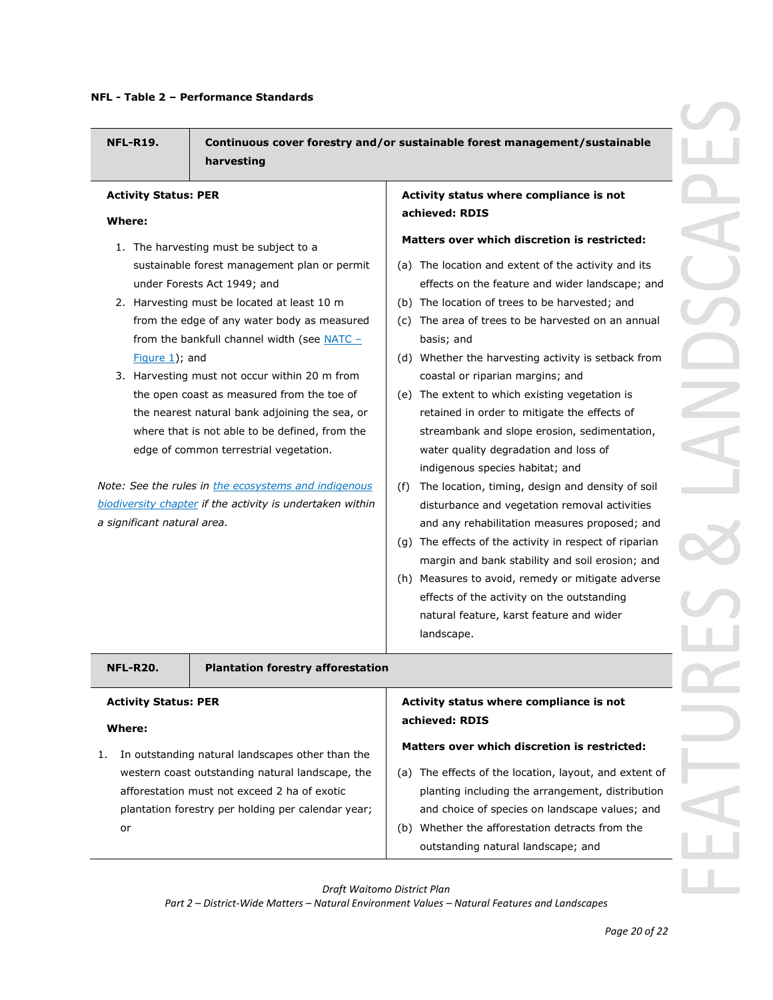**NFL-R19. Continuous cover forestry and/or sustainable forest management/sustainable harvesting**

#### **Activity Status: PER**

#### **Where:**

- 1. The harvesting must be subject to a sustainable forest management plan or permit under Forests Act 1949; and
- 2. Harvesting must be located at least 10 m from the edge of any water body as measured from the bankfull channel width (see  $NATC Figure 1$ ); and
- 3. Harvesting must not occur within 20 m from the open coast as measured from the toe of the nearest natural bank adjoining the sea, or where that is not able to be defined, from the edge of common terrestrial vegetation.

*Note: See the rules in the ecosystems and indigenous biodiversity chapter if the activity is undertaken within a significant natural area.*

**Activity status where compliance is not achieved: RDIS**

#### **Matters over which discretion is restricted:**

- (a) The location and extent of the activity and its effects on the feature and wider landscape; and
- (b) The location of trees to be harvested; and
- (c) The area of trees to be harvested on an annual basis; and
- (d) Whether the harvesting activity is setback from coastal or riparian margins; and
- (e) The extent to which existing vegetation is retained in order to mitigate the effects of streambank and slope erosion, sedimentation, water quality degradation and loss of indigenous species habitat; and
- (f) The location, timing, design and density of soil disturbance and vegetation removal activities and any rehabilitation measures proposed; and
- (g) The effects of the activity in respect of riparian margin and bank stability and soil erosion; and
- (h) Measures to avoid, remedy or mitigate adverse effects of the activity on the outstanding natural feature, karst feature and wider landscape.

#### **NFL-R20. Plantation forestry afforestation**

## **Activity Status: PER**

### **Where:**

1. In outstanding natural landscapes other than the western coast outstanding natural landscape, the afforestation must not exceed 2 ha of exotic plantation forestry per holding per calendar year; or

#### **Activity status where compliance is not achieved: RDIS**

#### **Matters over which discretion is restricted:**

- (a) The effects of the location, layout, and extent of planting including the arrangement, distribution and choice of species on landscape values; and
- (b) Whether the afforestation detracts from the outstanding natural landscape; and

*Draft Waitomo District Plan*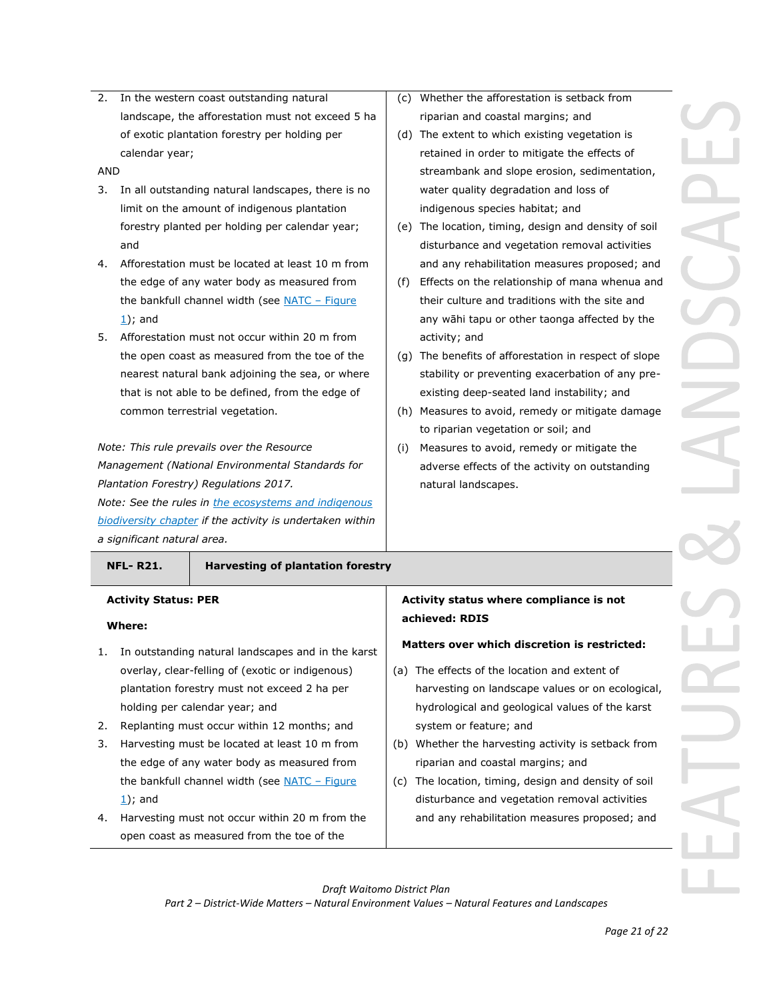2. In the western coast outstanding natural landscape, the afforestation must not exceed 5 ha of exotic plantation forestry per holding per calendar year;

AND

- 3. In all outstanding natural landscapes, there is no limit on the amount of indigenous plantation forestry planted per holding per calendar year; and
- 4. Afforestation must be located at least 10 m from the edge of any water body as measured from the bankfull channel width (see NATC – Figure  $1$ ); and
- 5. Afforestation must not occur within 20 m from the open coast as measured from the toe of the nearest natural bank adjoining the sea, or where that is not able to be defined, from the edge of common terrestrial vegetation.

*Note: This rule prevails over the Resource Management (National Environmental Standards for Plantation Forestry) Regulations 2017. Note: See the rules in the ecosystems and indigenous biodiversity chapter if the activity is undertaken within a significant natural area.*

#### **NFL- R21. Harvesting of plantation forestry**

#### **Activity Status: PER**

#### **Where:**

- 1. In outstanding natural landscapes and in the karst overlay, clear-felling of (exotic or indigenous) plantation forestry must not exceed 2 ha per holding per calendar year; and
- 2. Replanting must occur within 12 months; and
- 3. Harvesting must be located at least 10 m from the edge of any water body as measured from the bankfull channel width (see NATC - Figure  $1$ ); and
- 4. Harvesting must not occur within 20 m from the open coast as measured from the toe of the
- (c) Whether the afforestation is setback from riparian and coastal margins; and
- (d) The extent to which existing vegetation is retained in order to mitigate the effects of streambank and slope erosion, sedimentation, water quality degradation and loss of indigenous species habitat; and
- (e) The location, timing, design and density of soil disturbance and vegetation removal activities and any rehabilitation measures proposed; and
- (f) Effects on the relationship of mana whenua and their culture and traditions with the site and any wāhi tapu or other taonga affected by the activity; and
- (g) The benefits of afforestation in respect of slope stability or preventing exacerbation of any preexisting deep-seated land instability; and
- (h) Measures to avoid, remedy or mitigate damage to riparian vegetation or soil; and
- (i) Measures to avoid, remedy or mitigate the adverse effects of the activity on outstanding natural landscapes.

### **Activity status where compliance is not achieved: RDIS**

#### **Matters over which discretion is restricted:**

- (a) The effects of the location and extent of harvesting on landscape values or on ecological, hydrological and geological values of the karst system or feature; and
- (b) Whether the harvesting activity is setback from riparian and coastal margins; and
- (c) The location, timing, design and density of soil disturbance and vegetation removal activities and any rehabilitation measures proposed; and

*Draft Waitomo District Plan*